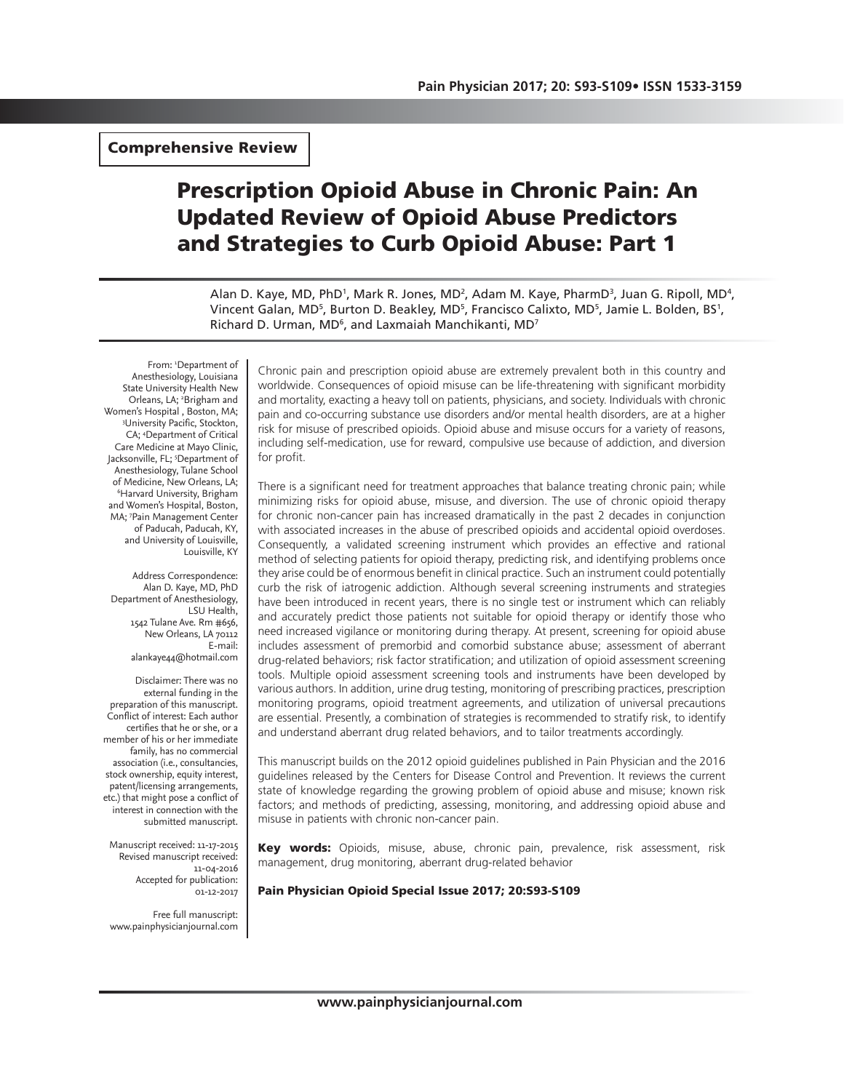Comprehensive Review

# Prescription Opioid Abuse in Chronic Pain: An Updated Review of Opioid Abuse Predictors and Strategies to Curb Opioid Abuse: Part 1

Alan D. Kaye, MD, PhD<sup>1</sup>, Mark R. Jones, MD<sup>2</sup>, Adam M. Kaye, PharmD<sup>3</sup>, Juan G. Ripoll, MD<sup>4</sup>, Vincent Galan, MD<sup>5</sup>, Burton D. Beakley, MD<sup>5</sup>, Francisco Calixto, MD<sup>5</sup>, Jamie L. Bolden, BS<sup>1</sup>, Richard D. Urman, MD<sup>6</sup>, and Laxmaiah Manchikanti, MD<sup>7</sup>

From: 'Department of Anesthesiology, Louisiana State University Health New Orleans, LA; <sup>2</sup>Brigham and Women's Hospital, Boston, MA; University Pacific, Stockton, CA; 4 Department of Critical Care Medicine at Mayo Clinic, Jacksonville, FL; 5 Department of Anesthesiology, Tulane School of Medicine, New Orleans, LA; 6 Harvard University, Brigham and Women's Hospital, Boston, MA; 7 Pain Management Center of Paducah, Paducah, KY, and University of Louisville, Louisville, KY

Address Correspondence: Alan D. Kaye, MD, PhD Department of Anesthesiology, LSU Health, 1542 Tulane Ave. Rm #656, New Orleans, LA 70112 E-mail: alankaye44@hotmail.com

Disclaimer: There was no external funding in the preparation of this manuscript. Conflict of interest: Each author certifies that he or she, or a member of his or her immediate family, has no commercial association (i.e., consultancies, stock ownership, equity interest, patent/licensing arrangements, etc.) that might pose a conflict of interest in connection with the submitted manuscript.

Manuscript received: 11-17-2015 Revised manuscript received: 11-04-2016 Accepted for publication: 01-12-2017

Free full manuscript: www.painphysicianjournal.com Chronic pain and prescription opioid abuse are extremely prevalent both in this country and worldwide. Consequences of opioid misuse can be life-threatening with significant morbidity and mortality, exacting a heavy toll on patients, physicians, and society. Individuals with chronic pain and co-occurring substance use disorders and/or mental health disorders, are at a higher risk for misuse of prescribed opioids. Opioid abuse and misuse occurs for a variety of reasons, including self-medication, use for reward, compulsive use because of addiction, and diversion for profit.

There is a significant need for treatment approaches that balance treating chronic pain; while minimizing risks for opioid abuse, misuse, and diversion. The use of chronic opioid therapy for chronic non-cancer pain has increased dramatically in the past 2 decades in conjunction with associated increases in the abuse of prescribed opioids and accidental opioid overdoses. Consequently, a validated screening instrument which provides an effective and rational method of selecting patients for opioid therapy, predicting risk, and identifying problems once they arise could be of enormous benefit in clinical practice. Such an instrument could potentially curb the risk of iatrogenic addiction. Although several screening instruments and strategies have been introduced in recent years, there is no single test or instrument which can reliably and accurately predict those patients not suitable for opioid therapy or identify those who need increased vigilance or monitoring during therapy. At present, screening for opioid abuse includes assessment of premorbid and comorbid substance abuse; assessment of aberrant drug-related behaviors; risk factor stratification; and utilization of opioid assessment screening tools. Multiple opioid assessment screening tools and instruments have been developed by various authors. In addition, urine drug testing, monitoring of prescribing practices, prescription monitoring programs, opioid treatment agreements, and utilization of universal precautions are essential. Presently, a combination of strategies is recommended to stratify risk, to identify and understand aberrant drug related behaviors, and to tailor treatments accordingly.

This manuscript builds on the 2012 opioid guidelines published in Pain Physician and the 2016 guidelines released by the Centers for Disease Control and Prevention. It reviews the current state of knowledge regarding the growing problem of opioid abuse and misuse; known risk factors; and methods of predicting, assessing, monitoring, and addressing opioid abuse and misuse in patients with chronic non-cancer pain.

Key words: Opioids, misuse, abuse, chronic pain, prevalence, risk assessment, risk management, drug monitoring, aberrant drug-related behavior

#### Pain Physician Opioid Special Issue 2017; 20:S93-S109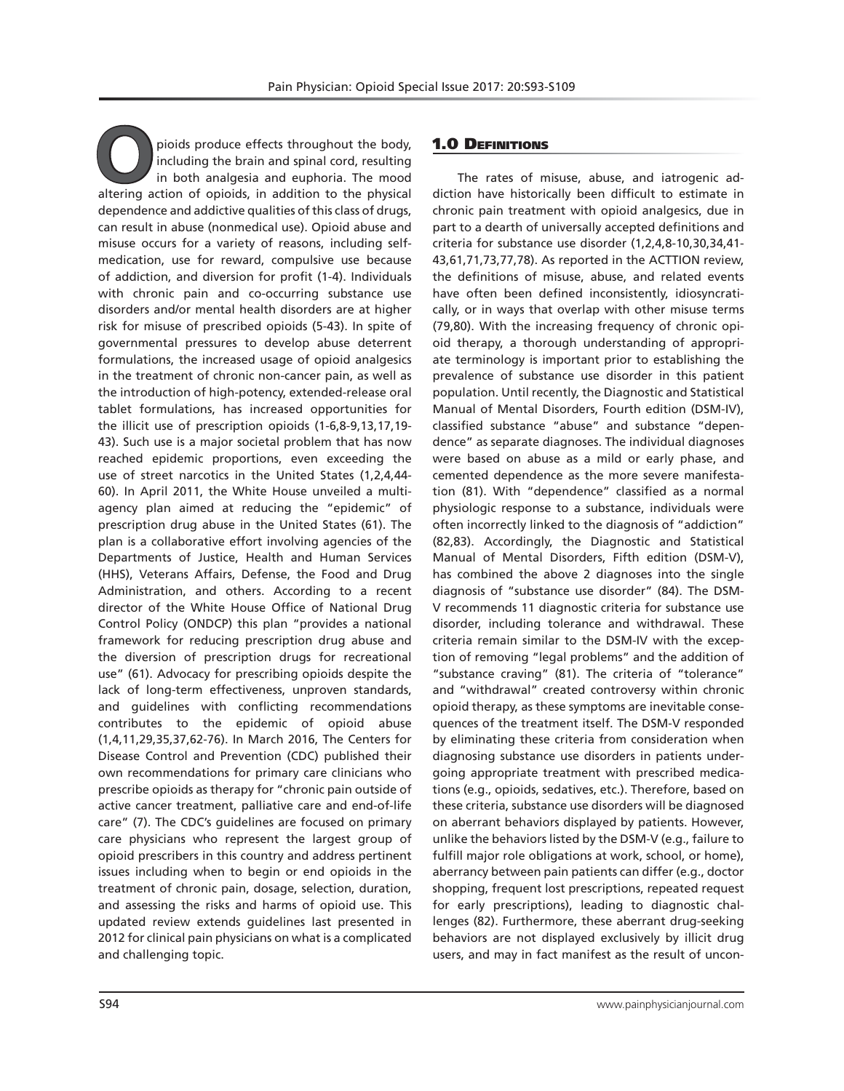**O**pioids produce effects throughout the body, including the brain and spinal cord, resulting in both analgesia and euphoria. The mood altering action of opioids, in addition to the physical dependence and addictive qualities of this class of drugs, can result in abuse (nonmedical use). Opioid abuse and misuse occurs for a variety of reasons, including selfmedication, use for reward, compulsive use because of addiction, and diversion for profit (1-4). Individuals with chronic pain and co-occurring substance use disorders and/or mental health disorders are at higher risk for misuse of prescribed opioids (5-43). In spite of governmental pressures to develop abuse deterrent formulations, the increased usage of opioid analgesics in the treatment of chronic non-cancer pain, as well as the introduction of high-potency, extended-release oral tablet formulations, has increased opportunities for the illicit use of prescription opioids (1-6,8-9,13,17,19- 43). Such use is a major societal problem that has now reached epidemic proportions, even exceeding the use of street narcotics in the United States (1,2,4,44- 60). In April 2011, the White House unveiled a multiagency plan aimed at reducing the "epidemic" of prescription drug abuse in the United States (61). The plan is a collaborative effort involving agencies of the Departments of Justice, Health and Human Services (HHS), Veterans Affairs, Defense, the Food and Drug Administration, and others. According to a recent director of the White House Office of National Drug Control Policy (ONDCP) this plan "provides a national framework for reducing prescription drug abuse and the diversion of prescription drugs for recreational use" (61). Advocacy for prescribing opioids despite the lack of long-term effectiveness, unproven standards, and guidelines with conflicting recommendations contributes to the epidemic of opioid abuse (1,4,11,29,35,37,62-76). In March 2016, The Centers for Disease Control and Prevention (CDC) published their own recommendations for primary care clinicians who prescribe opioids as therapy for "chronic pain outside of active cancer treatment, palliative care and end-of-life care" (7). The CDC's guidelines are focused on primary care physicians who represent the largest group of opioid prescribers in this country and address pertinent issues including when to begin or end opioids in the treatment of chronic pain, dosage, selection, duration, and assessing the risks and harms of opioid use. This updated review extends guidelines last presented in 2012 for clinical pain physicians on what is a complicated and challenging topic.

# **1.0 DEFINITIONS**

The rates of misuse, abuse, and iatrogenic addiction have historically been difficult to estimate in chronic pain treatment with opioid analgesics, due in part to a dearth of universally accepted definitions and criteria for substance use disorder (1,2,4,8-10,30,34,41- 43,61,71,73,77,78). As reported in the ACTTION review, the definitions of misuse, abuse, and related events have often been defined inconsistently, idiosyncratically, or in ways that overlap with other misuse terms (79,80). With the increasing frequency of chronic opioid therapy, a thorough understanding of appropriate terminology is important prior to establishing the prevalence of substance use disorder in this patient population. Until recently, the Diagnostic and Statistical Manual of Mental Disorders, Fourth edition (DSM-IV), classified substance "abuse" and substance "dependence" as separate diagnoses. The individual diagnoses were based on abuse as a mild or early phase, and cemented dependence as the more severe manifestation (81). With "dependence" classified as a normal physiologic response to a substance, individuals were often incorrectly linked to the diagnosis of "addiction" (82,83). Accordingly, the Diagnostic and Statistical Manual of Mental Disorders, Fifth edition (DSM-V), has combined the above 2 diagnoses into the single diagnosis of "substance use disorder" (84). The DSM-V recommends 11 diagnostic criteria for substance use disorder, including tolerance and withdrawal. These criteria remain similar to the DSM-IV with the exception of removing "legal problems" and the addition of "substance craving" (81). The criteria of "tolerance" and "withdrawal" created controversy within chronic opioid therapy, as these symptoms are inevitable consequences of the treatment itself. The DSM-V responded by eliminating these criteria from consideration when diagnosing substance use disorders in patients undergoing appropriate treatment with prescribed medications (e.g., opioids, sedatives, etc.). Therefore, based on these criteria, substance use disorders will be diagnosed on aberrant behaviors displayed by patients. However, unlike the behaviors listed by the DSM-V (e.g., failure to fulfill major role obligations at work, school, or home), aberrancy between pain patients can differ (e.g., doctor shopping, frequent lost prescriptions, repeated request for early prescriptions), leading to diagnostic challenges (82). Furthermore, these aberrant drug-seeking behaviors are not displayed exclusively by illicit drug users, and may in fact manifest as the result of uncon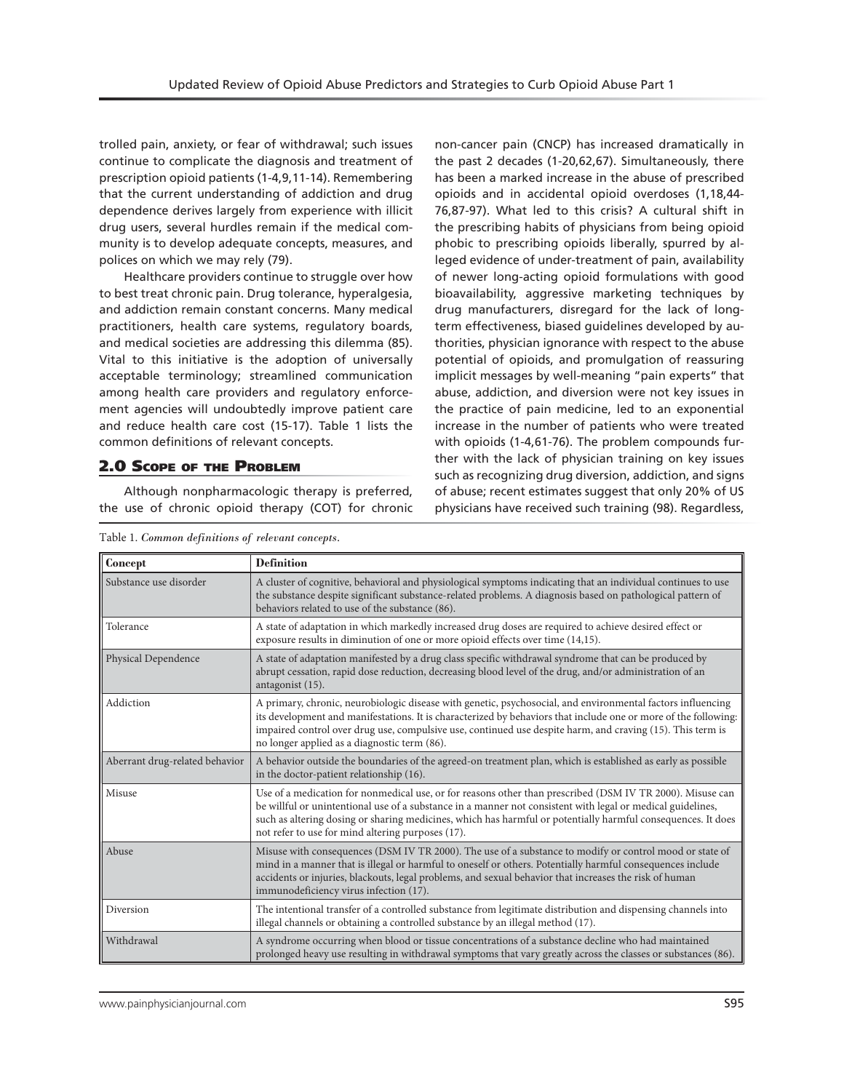trolled pain, anxiety, or fear of withdrawal; such issues continue to complicate the diagnosis and treatment of prescription opioid patients (1-4,9,11-14). Remembering that the current understanding of addiction and drug dependence derives largely from experience with illicit drug users, several hurdles remain if the medical community is to develop adequate concepts, measures, and polices on which we may rely (79).

Healthcare providers continue to struggle over how to best treat chronic pain. Drug tolerance, hyperalgesia, and addiction remain constant concerns. Many medical practitioners, health care systems, regulatory boards, and medical societies are addressing this dilemma (85). Vital to this initiative is the adoption of universally acceptable terminology; streamlined communication among health care providers and regulatory enforcement agencies will undoubtedly improve patient care and reduce health care cost (15-17). Table 1 lists the common definitions of relevant concepts.

#### 2.0 Scope of the Problem

Although nonpharmacologic therapy is preferred, the use of chronic opioid therapy (COT) for chronic

non-cancer pain (CNCP) has increased dramatically in the past 2 decades (1-20,62,67). Simultaneously, there has been a marked increase in the abuse of prescribed opioids and in accidental opioid overdoses (1,18,44- 76,87-97). What led to this crisis? A cultural shift in the prescribing habits of physicians from being opioid phobic to prescribing opioids liberally, spurred by alleged evidence of under-treatment of pain, availability of newer long-acting opioid formulations with good bioavailability, aggressive marketing techniques by drug manufacturers, disregard for the lack of longterm effectiveness, biased guidelines developed by authorities, physician ignorance with respect to the abuse potential of opioids, and promulgation of reassuring implicit messages by well-meaning "pain experts" that abuse, addiction, and diversion were not key issues in the practice of pain medicine, led to an exponential increase in the number of patients who were treated with opioids (1-4,61-76). The problem compounds further with the lack of physician training on key issues such as recognizing drug diversion, addiction, and signs of abuse; recent estimates suggest that only 20% of US physicians have received such training (98). Regardless,

| <b>Concept</b>                 | <b>Definition</b>                                                                                                                                                                                                                                                                                                                                                                             |
|--------------------------------|-----------------------------------------------------------------------------------------------------------------------------------------------------------------------------------------------------------------------------------------------------------------------------------------------------------------------------------------------------------------------------------------------|
| Substance use disorder         | A cluster of cognitive, behavioral and physiological symptoms indicating that an individual continues to use<br>the substance despite significant substance-related problems. A diagnosis based on pathological pattern of<br>behaviors related to use of the substance (86).                                                                                                                 |
| Tolerance                      | A state of adaptation in which markedly increased drug doses are required to achieve desired effect or<br>exposure results in diminution of one or more opioid effects over time (14,15).                                                                                                                                                                                                     |
| Physical Dependence            | A state of adaptation manifested by a drug class specific withdrawal syndrome that can be produced by<br>abrupt cessation, rapid dose reduction, decreasing blood level of the drug, and/or administration of an<br>antagonist (15).                                                                                                                                                          |
| Addiction                      | A primary, chronic, neurobiologic disease with genetic, psychosocial, and environmental factors influencing<br>its development and manifestations. It is characterized by behaviors that include one or more of the following:<br>impaired control over drug use, compulsive use, continued use despite harm, and craving (15). This term is<br>no longer applied as a diagnostic term (86).  |
| Aberrant drug-related behavior | A behavior outside the boundaries of the agreed-on treatment plan, which is established as early as possible<br>in the doctor-patient relationship (16).                                                                                                                                                                                                                                      |
| Misuse                         | Use of a medication for nonmedical use, or for reasons other than prescribed (DSM IV TR 2000). Misuse can<br>be willful or unintentional use of a substance in a manner not consistent with legal or medical guidelines,<br>such as altering dosing or sharing medicines, which has harmful or potentially harmful consequences. It does<br>not refer to use for mind altering purposes (17). |
| Abuse                          | Misuse with consequences (DSM IV TR 2000). The use of a substance to modify or control mood or state of<br>mind in a manner that is illegal or harmful to oneself or others. Potentially harmful consequences include<br>accidents or injuries, blackouts, legal problems, and sexual behavior that increases the risk of human<br>immunodeficiency virus infection (17).                     |
| Diversion                      | The intentional transfer of a controlled substance from legitimate distribution and dispensing channels into<br>illegal channels or obtaining a controlled substance by an illegal method (17).                                                                                                                                                                                               |
| Withdrawal                     | A syndrome occurring when blood or tissue concentrations of a substance decline who had maintained<br>prolonged heavy use resulting in withdrawal symptoms that vary greatly across the classes or substances (86).                                                                                                                                                                           |

Table 1. *Common definitions of relevant concepts.*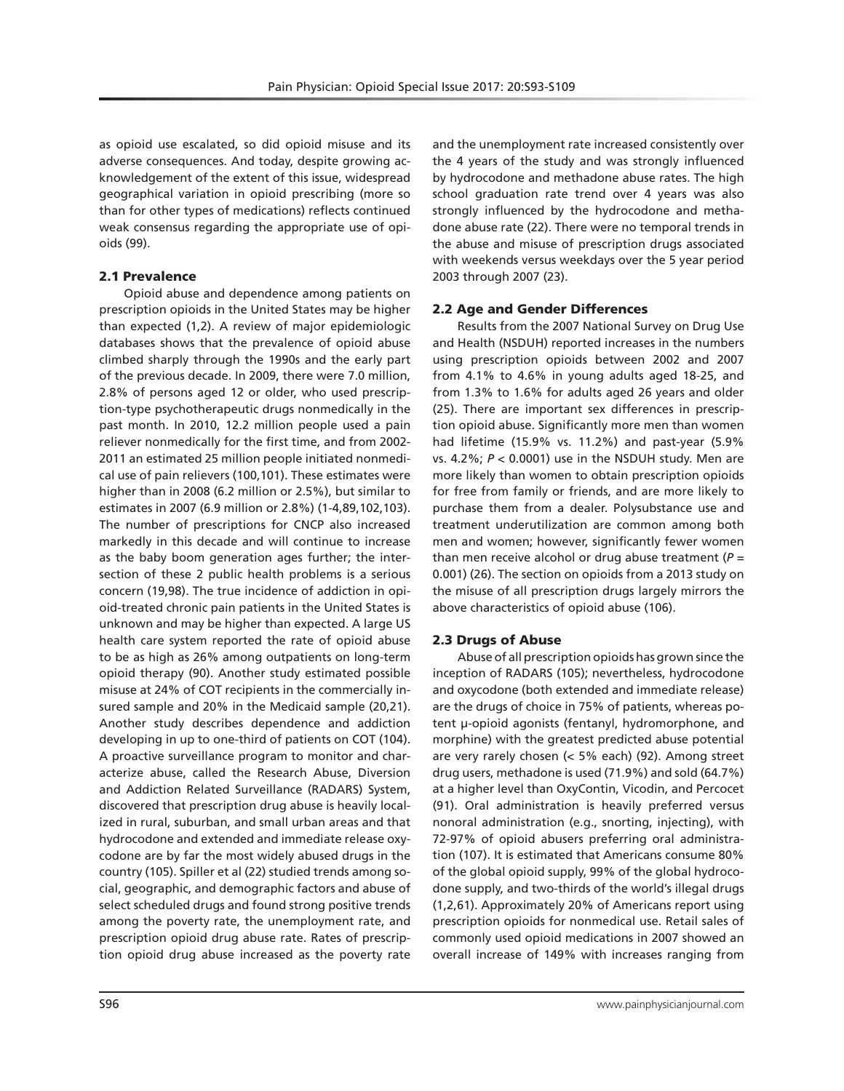as opioid use escalated, so did opioid misuse and its adverse consequences. And today, despite growing acknowledgement of the extent of this issue, widespread geographical variation in opioid prescribing (more so than for other types of medications) reflects continued weak consensus regarding the appropriate use of opioids (99).

# 2.1 Prevalence

Opioid abuse and dependence among patients on prescription opioids in the United States may be higher than expected (1,2). A review of major epidemiologic databases shows that the prevalence of opioid abuse climbed sharply through the 1990s and the early part of the previous decade. In 2009, there were 7.0 million, 2.8% of persons aged 12 or older, who used prescription-type psychotherapeutic drugs nonmedically in the past month. In 2010, 12.2 million people used a pain reliever nonmedically for the first time, and from 2002- 2011 an estimated 25 million people initiated nonmedical use of pain relievers (100,101). These estimates were higher than in 2008 (6.2 million or 2.5%), but similar to estimates in 2007 (6.9 million or 2.8%) (1-4,89,102,103). The number of prescriptions for CNCP also increased markedly in this decade and will continue to increase as the baby boom generation ages further; the intersection of these 2 public health problems is a serious concern (19,98). The true incidence of addiction in opioid-treated chronic pain patients in the United States is unknown and may be higher than expected. A large US health care system reported the rate of opioid abuse to be as high as 26% among outpatients on long-term opioid therapy (90). Another study estimated possible misuse at 24% of COT recipients in the commercially insured sample and 20% in the Medicaid sample (20,21). Another study describes dependence and addiction developing in up to one-third of patients on COT (104). A proactive surveillance program to monitor and characterize abuse, called the Research Abuse, Diversion and Addiction Related Surveillance (RADARS) System, discovered that prescription drug abuse is heavily localized in rural, suburban, and small urban areas and that hydrocodone and extended and immediate release oxycodone are by far the most widely abused drugs in the country (105). Spiller et al (22) studied trends among social, geographic, and demographic factors and abuse of select scheduled drugs and found strong positive trends among the poverty rate, the unemployment rate, and prescription opioid drug abuse rate. Rates of prescription opioid drug abuse increased as the poverty rate

and the unemployment rate increased consistently over the 4 years of the study and was strongly influenced by hydrocodone and methadone abuse rates. The high school graduation rate trend over 4 years was also strongly influenced by the hydrocodone and methadone abuse rate (22). There were no temporal trends in the abuse and misuse of prescription drugs associated with weekends versus weekdays over the 5 year period 2003 through 2007 (23).

# 2.2 Age and Gender Differences

Results from the 2007 National Survey on Drug Use and Health (NSDUH) reported increases in the numbers using prescription opioids between 2002 and 2007 from 4.1% to 4.6% in young adults aged 18-25, and from 1.3% to 1.6% for adults aged 26 years and older (25). There are important sex differences in prescription opioid abuse. Significantly more men than women had lifetime (15.9% vs. 11.2%) and past-year (5.9% vs. 4.2%; *P* < 0.0001) use in the NSDUH study. Men are more likely than women to obtain prescription opioids for free from family or friends, and are more likely to purchase them from a dealer. Polysubstance use and treatment underutilization are common among both men and women; however, significantly fewer women than men receive alcohol or drug abuse treatment (*P* = 0.001) (26). The section on opioids from a 2013 study on the misuse of all prescription drugs largely mirrors the above characteristics of opioid abuse (106).

# 2.3 Drugs of Abuse

Abuse of all prescription opioids has grown since the inception of RADARS (105); nevertheless, hydrocodone and oxycodone (both extended and immediate release) are the drugs of choice in 75% of patients, whereas potent μ-opioid agonists (fentanyl, hydromorphone, and morphine) with the greatest predicted abuse potential are very rarely chosen (< 5% each) (92). Among street drug users, methadone is used (71.9%) and sold (64.7%) at a higher level than OxyContin, Vicodin, and Percocet (91). Oral administration is heavily preferred versus nonoral administration (e.g., snorting, injecting), with 72-97% of opioid abusers preferring oral administration (107). It is estimated that Americans consume 80% of the global opioid supply, 99% of the global hydrocodone supply, and two-thirds of the world's illegal drugs (1,2,61). Approximately 20% of Americans report using prescription opioids for nonmedical use. Retail sales of commonly used opioid medications in 2007 showed an overall increase of 149% with increases ranging from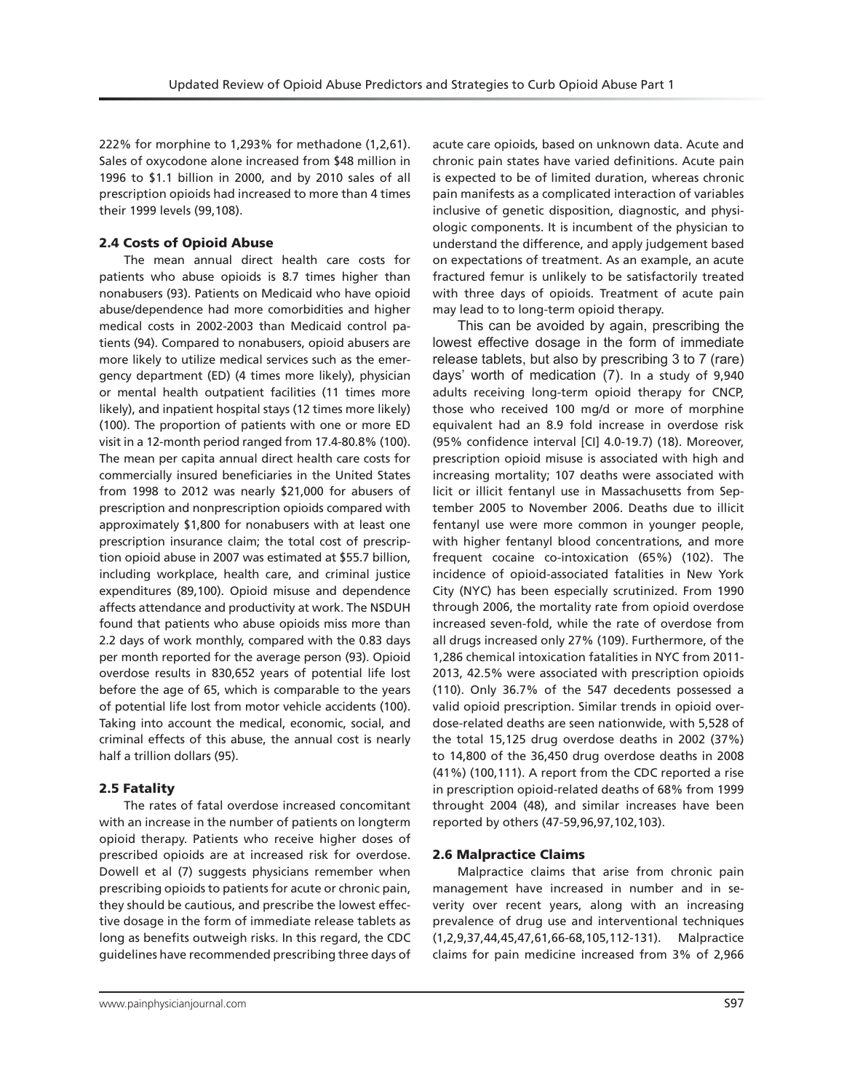222% for morphine to 1,293% for methadone (1,2,61). Sales of oxycodone alone increased from \$48 million in 1996 to \$1.1 billion in 2000, and by 2010 sales of all prescription opioids had increased to more than 4 times their 1999 levels (99,108).

## 2.4 Costs of Opioid Abuse

The mean annual direct health care costs for patients who abuse opioids is 8.7 times higher than nonabusers (93). Patients on Medicaid who have opioid abuse/dependence had more comorbidities and higher medical costs in 2002-2003 than Medicaid control patients (94). Compared to nonabusers, opioid abusers are more likely to utilize medical services such as the emergency department (ED) (4 times more likely), physician or mental health outpatient facilities (11 times more likely), and inpatient hospital stays (12 times more likely) (100). The proportion of patients with one or more ED visit in a 12-month period ranged from 17.4-80.8% (100). The mean per capita annual direct health care costs for commercially insured beneficiaries in the United States from 1998 to 2012 was nearly \$21,000 for abusers of prescription and nonprescription opioids compared with approximately \$1,800 for nonabusers with at least one prescription insurance claim; the total cost of prescription opioid abuse in 2007 was estimated at \$55.7 billion, including workplace, health care, and criminal justice expenditures (89,100). Opioid misuse and dependence affects attendance and productivity at work. The NSDUH found that patients who abuse opioids miss more than 2.2 days of work monthly, compared with the 0.83 days per month reported for the average person (93). Opioid overdose results in 830,652 years of potential life lost before the age of 65, which is comparable to the years of potential life lost from motor vehicle accidents (100). Taking into account the medical, economic, social, and criminal effects of this abuse, the annual cost is nearly half a trillion dollars (95).

#### 2.5 Fatality

The rates of fatal overdose increased concomitant with an increase in the number of patients on longterm opioid therapy. Patients who receive higher doses of prescribed opioids are at increased risk for overdose. Dowell et al (7) suggests physicians remember when prescribing opioids to patients for acute or chronic pain, they should be cautious, and prescribe the lowest effective dosage in the form of immediate release tablets as long as benefits outweigh risks. In this regard, the CDC guidelines have recommended prescribing three days of

acute care opioids, based on unknown data. Acute and chronic pain states have varied definitions. Acute pain is expected to be of limited duration, whereas chronic pain manifests as a complicated interaction of variables inclusive of genetic disposition, diagnostic, and physiologic components. It is incumbent of the physician to understand the difference, and apply judgement based on expectations of treatment. As an example, an acute fractured femur is unlikely to be satisfactorily treated with three days of opioids. Treatment of acute pain may lead to to long-term opioid therapy.

This can be avoided by again, prescribing the lowest effective dosage in the form of immediate release tablets, but also by prescribing 3 to 7 (rare) days' worth of medication (7). In a study of 9,940 adults receiving long-term opioid therapy for CNCP, those who received 100 mg/d or more of morphine equivalent had an 8.9 fold increase in overdose risk (95% confidence interval [CI] 4.0-19.7) (18). Moreover, prescription opioid misuse is associated with high and increasing mortality; 107 deaths were associated with licit or illicit fentanyl use in Massachusetts from September 2005 to November 2006. Deaths due to illicit fentanyl use were more common in younger people, with higher fentanyl blood concentrations, and more frequent cocaine co-intoxication (65%) (102). The incidence of opioid-associated fatalities in New York City (NYC) has been especially scrutinized. From 1990 through 2006, the mortality rate from opioid overdose increased seven-fold, while the rate of overdose from all drugs increased only 27% (109). Furthermore, of the 1,286 chemical intoxication fatalities in NYC from 2011- 2013, 42.5% were associated with prescription opioids (110). Only 36.7% of the 547 decedents possessed a valid opioid prescription. Similar trends in opioid overdose-related deaths are seen nationwide, with 5,528 of the total 15,125 drug overdose deaths in 2002 (37%) to 14,800 of the 36,450 drug overdose deaths in 2008 (41%) (100,111). A report from the CDC reported a rise in prescription opioid-related deaths of 68% from 1999 throught 2004 (48), and similar increases have been reported by others (47-59,96,97,102,103).

## 2.6 Malpractice Claims

Malpractice claims that arise from chronic pain management have increased in number and in severity over recent years, along with an increasing prevalence of drug use and interventional techniques (1,2,9,37,44,45,47,61,66-68,105,112-131). Malpractice claims for pain medicine increased from 3% of 2,966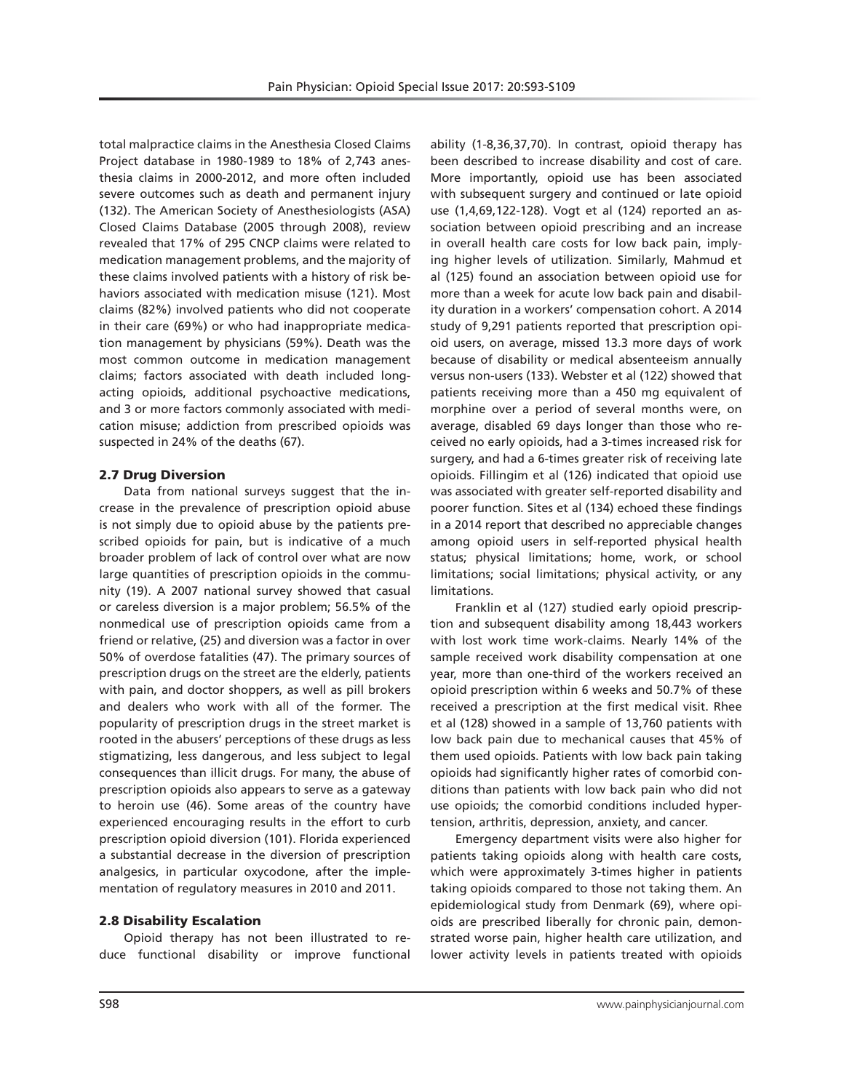total malpractice claims in the Anesthesia Closed Claims Project database in 1980-1989 to 18% of 2,743 anesthesia claims in 2000-2012, and more often included severe outcomes such as death and permanent injury (132). The American Society of Anesthesiologists (ASA) Closed Claims Database (2005 through 2008), review revealed that 17% of 295 CNCP claims were related to medication management problems, and the majority of these claims involved patients with a history of risk behaviors associated with medication misuse (121). Most claims (82%) involved patients who did not cooperate in their care (69%) or who had inappropriate medication management by physicians (59%). Death was the most common outcome in medication management claims; factors associated with death included longacting opioids, additional psychoactive medications, and 3 or more factors commonly associated with medication misuse; addiction from prescribed opioids was suspected in 24% of the deaths (67).

#### 2.7 Drug Diversion

Data from national surveys suggest that the increase in the prevalence of prescription opioid abuse is not simply due to opioid abuse by the patients prescribed opioids for pain, but is indicative of a much broader problem of lack of control over what are now large quantities of prescription opioids in the community (19). A 2007 national survey showed that casual or careless diversion is a major problem; 56.5% of the nonmedical use of prescription opioids came from a friend or relative, (25) and diversion was a factor in over 50% of overdose fatalities (47). The primary sources of prescription drugs on the street are the elderly, patients with pain, and doctor shoppers, as well as pill brokers and dealers who work with all of the former. The popularity of prescription drugs in the street market is rooted in the abusers' perceptions of these drugs as less stigmatizing, less dangerous, and less subject to legal consequences than illicit drugs. For many, the abuse of prescription opioids also appears to serve as a gateway to heroin use (46). Some areas of the country have experienced encouraging results in the effort to curb prescription opioid diversion (101). Florida experienced a substantial decrease in the diversion of prescription analgesics, in particular oxycodone, after the implementation of regulatory measures in 2010 and 2011.

#### 2.8 Disability Escalation

Opioid therapy has not been illustrated to reduce functional disability or improve functional ability (1-8,36,37,70). In contrast, opioid therapy has been described to increase disability and cost of care. More importantly, opioid use has been associated with subsequent surgery and continued or late opioid use (1,4,69,122-128). Vogt et al (124) reported an association between opioid prescribing and an increase in overall health care costs for low back pain, implying higher levels of utilization. Similarly, Mahmud et al (125) found an association between opioid use for more than a week for acute low back pain and disability duration in a workers' compensation cohort. A 2014 study of 9,291 patients reported that prescription opioid users, on average, missed 13.3 more days of work because of disability or medical absenteeism annually versus non-users (133). Webster et al (122) showed that patients receiving more than a 450 mg equivalent of morphine over a period of several months were, on average, disabled 69 days longer than those who received no early opioids, had a 3-times increased risk for surgery, and had a 6-times greater risk of receiving late opioids. Fillingim et al (126) indicated that opioid use was associated with greater self-reported disability and poorer function. Sites et al (134) echoed these findings in a 2014 report that described no appreciable changes among opioid users in self-reported physical health status; physical limitations; home, work, or school limitations; social limitations; physical activity, or any limitations.

Franklin et al (127) studied early opioid prescription and subsequent disability among 18,443 workers with lost work time work-claims. Nearly 14% of the sample received work disability compensation at one year, more than one-third of the workers received an opioid prescription within 6 weeks and 50.7% of these received a prescription at the first medical visit. Rhee et al (128) showed in a sample of 13,760 patients with low back pain due to mechanical causes that 45% of them used opioids. Patients with low back pain taking opioids had significantly higher rates of comorbid conditions than patients with low back pain who did not use opioids; the comorbid conditions included hypertension, arthritis, depression, anxiety, and cancer.

Emergency department visits were also higher for patients taking opioids along with health care costs, which were approximately 3-times higher in patients taking opioids compared to those not taking them. An epidemiological study from Denmark (69), where opioids are prescribed liberally for chronic pain, demonstrated worse pain, higher health care utilization, and lower activity levels in patients treated with opioids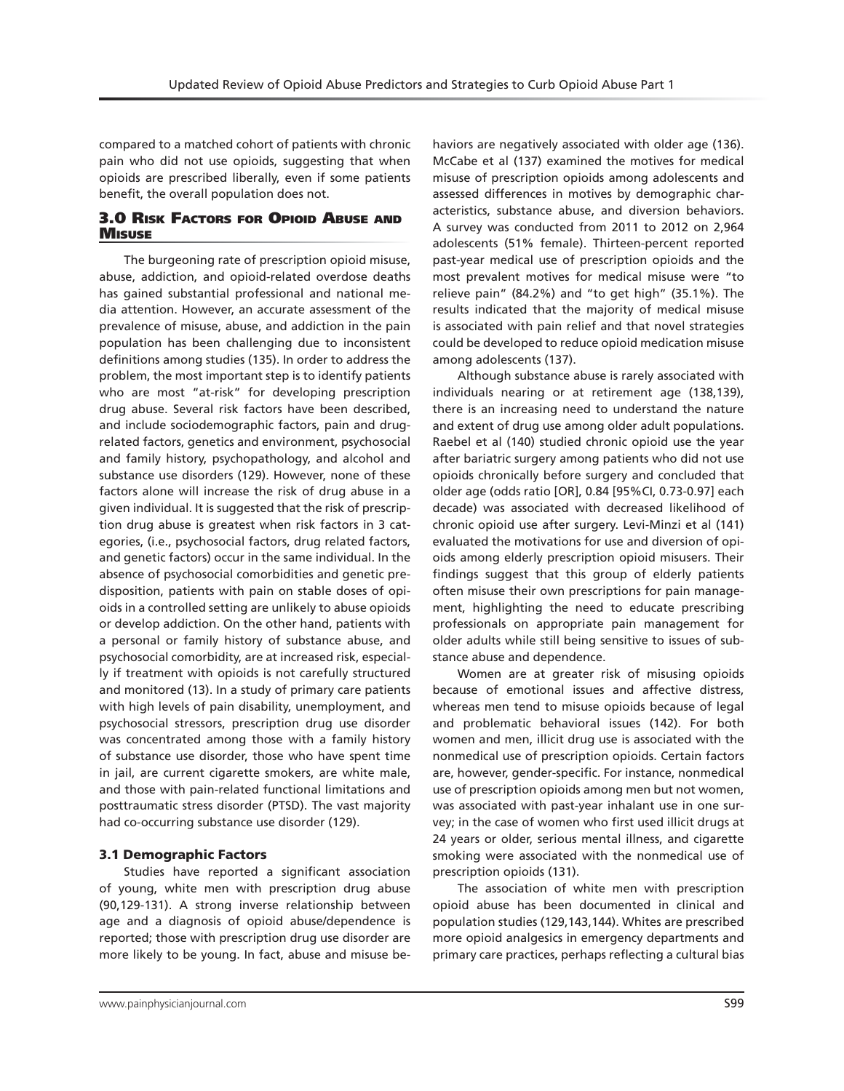compared to a matched cohort of patients with chronic pain who did not use opioids, suggesting that when opioids are prescribed liberally, even if some patients benefit, the overall population does not.

# 3.0 Risk Factors for Opioid Abuse and **MISUSE**

The burgeoning rate of prescription opioid misuse, abuse, addiction, and opioid-related overdose deaths has gained substantial professional and national media attention. However, an accurate assessment of the prevalence of misuse, abuse, and addiction in the pain population has been challenging due to inconsistent definitions among studies (135). In order to address the problem, the most important step is to identify patients who are most "at-risk" for developing prescription drug abuse. Several risk factors have been described, and include sociodemographic factors, pain and drugrelated factors, genetics and environment, psychosocial and family history, psychopathology, and alcohol and substance use disorders (129). However, none of these factors alone will increase the risk of drug abuse in a given individual. It is suggested that the risk of prescription drug abuse is greatest when risk factors in 3 categories, (i.e., psychosocial factors, drug related factors, and genetic factors) occur in the same individual. In the absence of psychosocial comorbidities and genetic predisposition, patients with pain on stable doses of opioids in a controlled setting are unlikely to abuse opioids or develop addiction. On the other hand, patients with a personal or family history of substance abuse, and psychosocial comorbidity, are at increased risk, especially if treatment with opioids is not carefully structured and monitored (13). In a study of primary care patients with high levels of pain disability, unemployment, and psychosocial stressors, prescription drug use disorder was concentrated among those with a family history of substance use disorder, those who have spent time in jail, are current cigarette smokers, are white male, and those with pain-related functional limitations and posttraumatic stress disorder (PTSD). The vast majority had co-occurring substance use disorder (129).

## 3.1 Demographic Factors

Studies have reported a significant association of young, white men with prescription drug abuse (90,129-131). A strong inverse relationship between age and a diagnosis of opioid abuse/dependence is reported; those with prescription drug use disorder are more likely to be young. In fact, abuse and misuse be-

haviors are negatively associated with older age (136). McCabe et al (137) examined the motives for medical misuse of prescription opioids among adolescents and assessed differences in motives by demographic characteristics, substance abuse, and diversion behaviors. A survey was conducted from 2011 to 2012 on 2,964 adolescents (51% female). Thirteen-percent reported past-year medical use of prescription opioids and the most prevalent motives for medical misuse were "to relieve pain" (84.2%) and "to get high" (35.1%). The results indicated that the majority of medical misuse is associated with pain relief and that novel strategies could be developed to reduce opioid medication misuse among adolescents (137).

Although substance abuse is rarely associated with individuals nearing or at retirement age (138,139), there is an increasing need to understand the nature and extent of drug use among older adult populations. Raebel et al (140) studied chronic opioid use the year after bariatric surgery among patients who did not use opioids chronically before surgery and concluded that older age (odds ratio [OR], 0.84 [95%CI, 0.73-0.97] each decade) was associated with decreased likelihood of chronic opioid use after surgery. Levi-Minzi et al (141) evaluated the motivations for use and diversion of opioids among elderly prescription opioid misusers. Their findings suggest that this group of elderly patients often misuse their own prescriptions for pain management, highlighting the need to educate prescribing professionals on appropriate pain management for older adults while still being sensitive to issues of substance abuse and dependence.

Women are at greater risk of misusing opioids because of emotional issues and affective distress, whereas men tend to misuse opioids because of legal and problematic behavioral issues (142). For both women and men, illicit drug use is associated with the nonmedical use of prescription opioids. Certain factors are, however, gender-specific. For instance, nonmedical use of prescription opioids among men but not women, was associated with past-year inhalant use in one survey; in the case of women who first used illicit drugs at 24 years or older, serious mental illness, and cigarette smoking were associated with the nonmedical use of prescription opioids (131).

The association of white men with prescription opioid abuse has been documented in clinical and population studies (129,143,144). Whites are prescribed more opioid analgesics in emergency departments and primary care practices, perhaps reflecting a cultural bias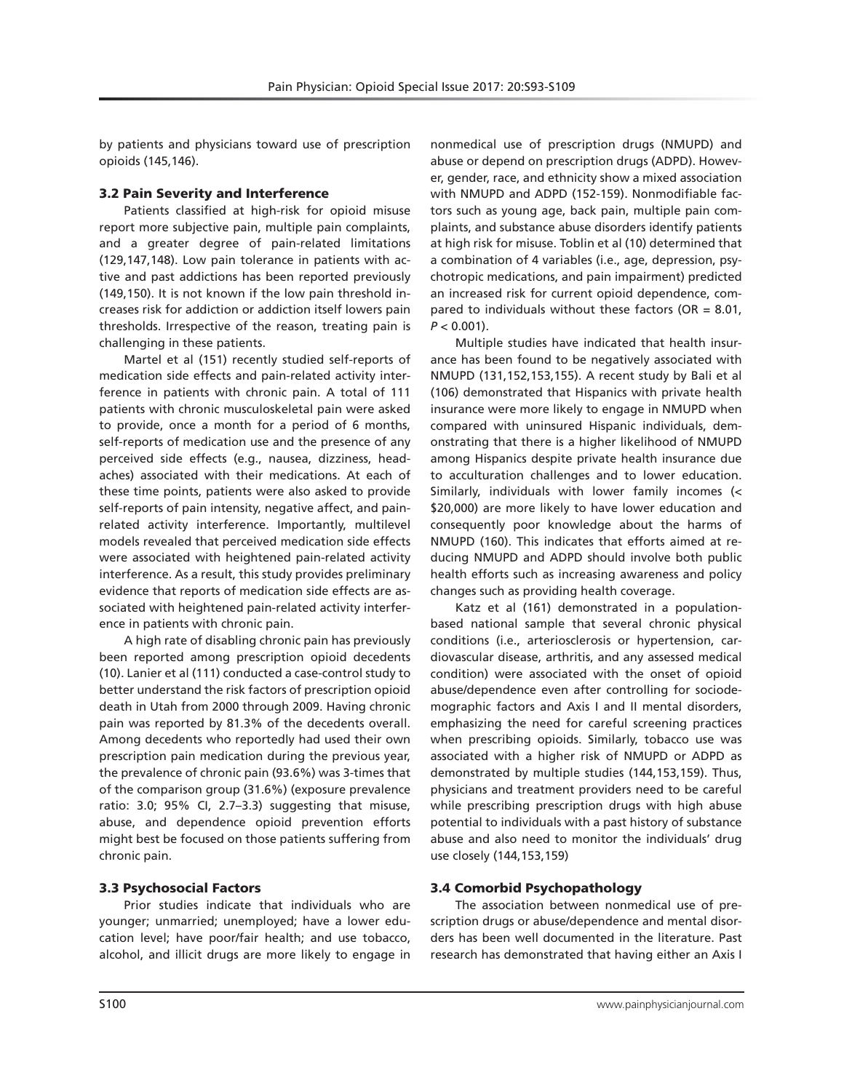by patients and physicians toward use of prescription opioids (145,146).

## 3.2 Pain Severity and Interference

Patients classified at high-risk for opioid misuse report more subjective pain, multiple pain complaints, and a greater degree of pain-related limitations (129,147,148). Low pain tolerance in patients with active and past addictions has been reported previously (149,150). It is not known if the low pain threshold increases risk for addiction or addiction itself lowers pain thresholds. Irrespective of the reason, treating pain is challenging in these patients.

Martel et al (151) recently studied self-reports of medication side effects and pain-related activity interference in patients with chronic pain. A total of 111 patients with chronic musculoskeletal pain were asked to provide, once a month for a period of 6 months, self-reports of medication use and the presence of any perceived side effects (e.g., nausea, dizziness, headaches) associated with their medications. At each of these time points, patients were also asked to provide self-reports of pain intensity, negative affect, and painrelated activity interference. Importantly, multilevel models revealed that perceived medication side effects were associated with heightened pain-related activity interference. As a result, this study provides preliminary evidence that reports of medication side effects are associated with heightened pain-related activity interference in patients with chronic pain.

A high rate of disabling chronic pain has previously been reported among prescription opioid decedents (10). Lanier et al (111) conducted a case-control study to better understand the risk factors of prescription opioid death in Utah from 2000 through 2009. Having chronic pain was reported by 81.3% of the decedents overall. Among decedents who reportedly had used their own prescription pain medication during the previous year, the prevalence of chronic pain (93.6%) was 3-times that of the comparison group (31.6%) (exposure prevalence ratio: 3.0; 95% CI, 2.7–3.3) suggesting that misuse, abuse, and dependence opioid prevention efforts might best be focused on those patients suffering from chronic pain.

## 3.3 Psychosocial Factors

Prior studies indicate that individuals who are younger; unmarried; unemployed; have a lower education level; have poor/fair health; and use tobacco, alcohol, and illicit drugs are more likely to engage in

nonmedical use of prescription drugs (NMUPD) and abuse or depend on prescription drugs (ADPD). However, gender, race, and ethnicity show a mixed association with NMUPD and ADPD (152-159). Nonmodifiable factors such as young age, back pain, multiple pain complaints, and substance abuse disorders identify patients at high risk for misuse. Toblin et al (10) determined that a combination of 4 variables (i.e., age, depression, psychotropic medications, and pain impairment) predicted an increased risk for current opioid dependence, compared to individuals without these factors ( $OR = 8.01$ ,  $P < 0.001$ ).

Multiple studies have indicated that health insurance has been found to be negatively associated with NMUPD (131,152,153,155). A recent study by Bali et al (106) demonstrated that Hispanics with private health insurance were more likely to engage in NMUPD when compared with uninsured Hispanic individuals, demonstrating that there is a higher likelihood of NMUPD among Hispanics despite private health insurance due to acculturation challenges and to lower education. Similarly, individuals with lower family incomes (< \$20,000) are more likely to have lower education and consequently poor knowledge about the harms of NMUPD (160). This indicates that efforts aimed at reducing NMUPD and ADPD should involve both public health efforts such as increasing awareness and policy changes such as providing health coverage.

Katz et al (161) demonstrated in a populationbased national sample that several chronic physical conditions (i.e., arteriosclerosis or hypertension, cardiovascular disease, arthritis, and any assessed medical condition) were associated with the onset of opioid abuse/dependence even after controlling for sociodemographic factors and Axis I and II mental disorders, emphasizing the need for careful screening practices when prescribing opioids. Similarly, tobacco use was associated with a higher risk of NMUPD or ADPD as demonstrated by multiple studies (144,153,159). Thus, physicians and treatment providers need to be careful while prescribing prescription drugs with high abuse potential to individuals with a past history of substance abuse and also need to monitor the individuals' drug use closely (144,153,159)

## 3.4 Comorbid Psychopathology

The association between nonmedical use of prescription drugs or abuse/dependence and mental disorders has been well documented in the literature. Past research has demonstrated that having either an Axis I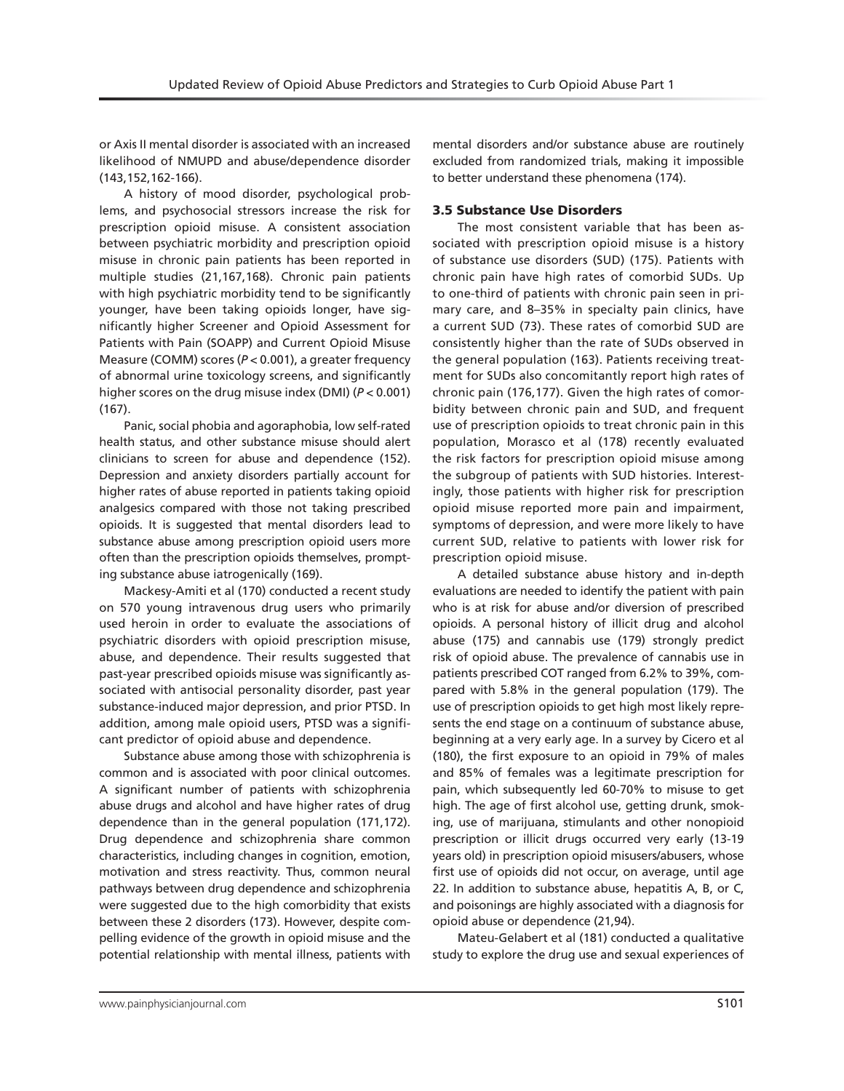or Axis II mental disorder is associated with an increased likelihood of NMUPD and abuse/dependence disorder (143,152,162-166).

A history of mood disorder, psychological problems, and psychosocial stressors increase the risk for prescription opioid misuse. A consistent association between psychiatric morbidity and prescription opioid misuse in chronic pain patients has been reported in multiple studies (21,167,168). Chronic pain patients with high psychiatric morbidity tend to be significantly younger, have been taking opioids longer, have significantly higher Screener and Opioid Assessment for Patients with Pain (SOAPP) and Current Opioid Misuse Measure (COMM) scores (*P* < 0.001), a greater frequency of abnormal urine toxicology screens, and significantly higher scores on the drug misuse index (DMI) (*P* < 0.001) (167).

Panic, social phobia and agoraphobia, low self-rated health status, and other substance misuse should alert clinicians to screen for abuse and dependence (152). Depression and anxiety disorders partially account for higher rates of abuse reported in patients taking opioid analgesics compared with those not taking prescribed opioids. It is suggested that mental disorders lead to substance abuse among prescription opioid users more often than the prescription opioids themselves, prompting substance abuse iatrogenically (169).

Mackesy-Amiti et al (170) conducted a recent study on 570 young intravenous drug users who primarily used heroin in order to evaluate the associations of psychiatric disorders with opioid prescription misuse, abuse, and dependence. Their results suggested that past-year prescribed opioids misuse was significantly associated with antisocial personality disorder, past year substance-induced major depression, and prior PTSD. In addition, among male opioid users, PTSD was a significant predictor of opioid abuse and dependence.

Substance abuse among those with schizophrenia is common and is associated with poor clinical outcomes. A significant number of patients with schizophrenia abuse drugs and alcohol and have higher rates of drug dependence than in the general population (171,172). Drug dependence and schizophrenia share common characteristics, including changes in cognition, emotion, motivation and stress reactivity. Thus, common neural pathways between drug dependence and schizophrenia were suggested due to the high comorbidity that exists between these 2 disorders (173). However, despite compelling evidence of the growth in opioid misuse and the potential relationship with mental illness, patients with

mental disorders and/or substance abuse are routinely excluded from randomized trials, making it impossible to better understand these phenomena (174).

#### 3.5 Substance Use Disorders

The most consistent variable that has been associated with prescription opioid misuse is a history of substance use disorders (SUD) (175). Patients with chronic pain have high rates of comorbid SUDs. Up to one-third of patients with chronic pain seen in primary care, and 8–35% in specialty pain clinics, have a current SUD (73). These rates of comorbid SUD are consistently higher than the rate of SUDs observed in the general population (163). Patients receiving treatment for SUDs also concomitantly report high rates of chronic pain (176,177). Given the high rates of comorbidity between chronic pain and SUD, and frequent use of prescription opioids to treat chronic pain in this population, Morasco et al (178) recently evaluated the risk factors for prescription opioid misuse among the subgroup of patients with SUD histories. Interestingly, those patients with higher risk for prescription opioid misuse reported more pain and impairment, symptoms of depression, and were more likely to have current SUD, relative to patients with lower risk for prescription opioid misuse.

A detailed substance abuse history and in-depth evaluations are needed to identify the patient with pain who is at risk for abuse and/or diversion of prescribed opioids. A personal history of illicit drug and alcohol abuse (175) and cannabis use (179) strongly predict risk of opioid abuse. The prevalence of cannabis use in patients prescribed COT ranged from 6.2% to 39%, compared with 5.8% in the general population (179). The use of prescription opioids to get high most likely represents the end stage on a continuum of substance abuse, beginning at a very early age. In a survey by Cicero et al (180), the first exposure to an opioid in 79% of males and 85% of females was a legitimate prescription for pain, which subsequently led 60-70% to misuse to get high. The age of first alcohol use, getting drunk, smoking, use of marijuana, stimulants and other nonopioid prescription or illicit drugs occurred very early (13-19 years old) in prescription opioid misusers/abusers, whose first use of opioids did not occur, on average, until age 22. In addition to substance abuse, hepatitis A, B, or C, and poisonings are highly associated with a diagnosis for opioid abuse or dependence (21,94).

Mateu-Gelabert et al (181) conducted a qualitative study to explore the drug use and sexual experiences of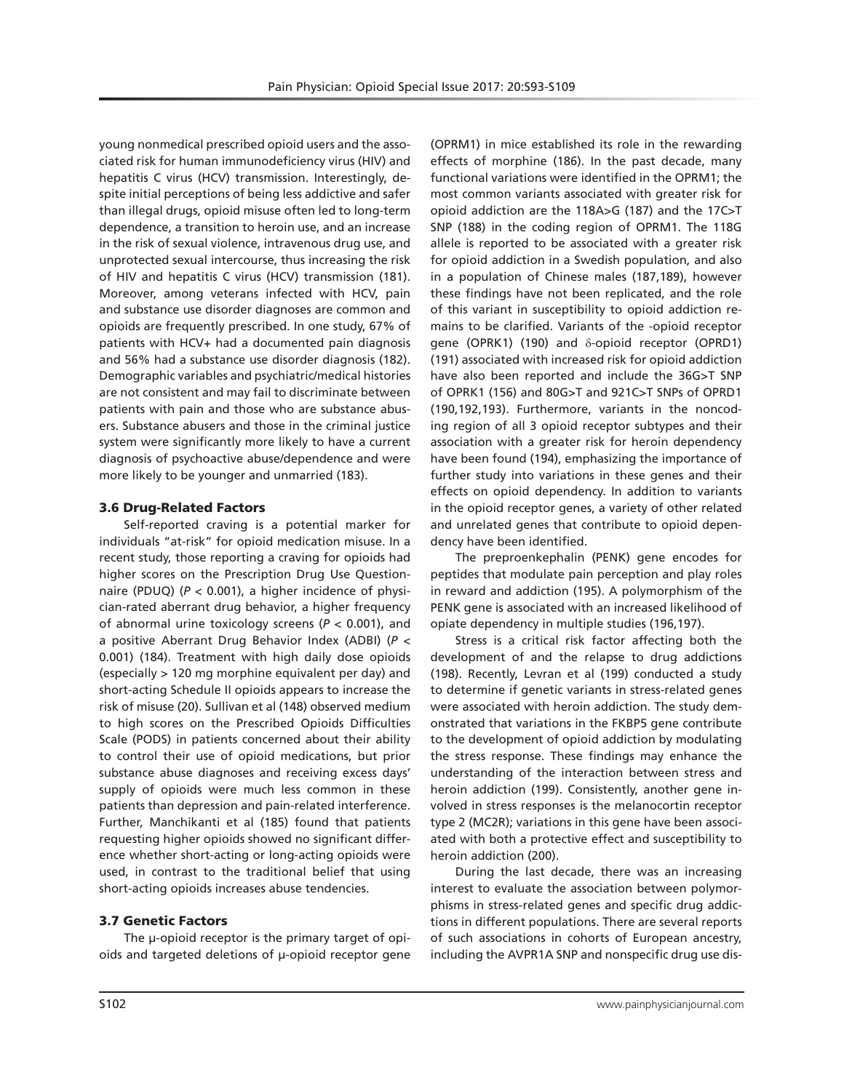young nonmedical prescribed opioid users and the associated risk for human immunodeficiency virus (HIV) and hepatitis C virus (HCV) transmission. Interestingly, despite initial perceptions of being less addictive and safer than illegal drugs, opioid misuse often led to long-term dependence, a transition to heroin use, and an increase in the risk of sexual violence, intravenous drug use, and unprotected sexual intercourse, thus increasing the risk of HIV and hepatitis C virus (HCV) transmission (181). Moreover, among veterans infected with HCV, pain and substance use disorder diagnoses are common and opioids are frequently prescribed. In one study, 67% of patients with HCV+ had a documented pain diagnosis and 56% had a substance use disorder diagnosis (182). Demographic variables and psychiatric/medical histories are not consistent and may fail to discriminate between patients with pain and those who are substance abusers. Substance abusers and those in the criminal justice system were significantly more likely to have a current diagnosis of psychoactive abuse/dependence and were more likely to be younger and unmarried (183).

#### 3.6 Drug-Related Factors

Self-reported craving is a potential marker for individuals "at-risk" for opioid medication misuse. In a recent study, those reporting a craving for opioids had higher scores on the Prescription Drug Use Questionnaire (PDUQ) (*P* < 0.001), a higher incidence of physician-rated aberrant drug behavior, a higher frequency of abnormal urine toxicology screens (*P* < 0.001), and a positive Aberrant Drug Behavior Index (ADBI) (*P* < 0.001) (184). Treatment with high daily dose opioids (especially > 120 mg morphine equivalent per day) and short-acting Schedule II opioids appears to increase the risk of misuse (20). Sullivan et al (148) observed medium to high scores on the Prescribed Opioids Difficulties Scale (PODS) in patients concerned about their ability to control their use of opioid medications, but prior substance abuse diagnoses and receiving excess days' supply of opioids were much less common in these patients than depression and pain-related interference. Further, Manchikanti et al (185) found that patients requesting higher opioids showed no significant difference whether short-acting or long-acting opioids were used, in contrast to the traditional belief that using short-acting opioids increases abuse tendencies.

## 3.7 Genetic Factors

The μ-opioid receptor is the primary target of opioids and targeted deletions of μ-opioid receptor gene

(OPRM1) in mice established its role in the rewarding effects of morphine (186). In the past decade, many functional variations were identified in the OPRM1; the most common variants associated with greater risk for opioid addiction are the 118A>G (187) and the 17C>T SNP (188) in the coding region of OPRM1. The 118G allele is reported to be associated with a greater risk for opioid addiction in a Swedish population, and also in a population of Chinese males (187,189), however these findings have not been replicated, and the role of this variant in susceptibility to opioid addiction remains to be clarified. Variants of the -opioid receptor gene (OPRK1) (190) and δ-opioid receptor (OPRD1) (191) associated with increased risk for opioid addiction have also been reported and include the 36G>T SNP of OPRK1 (156) and 80G>T and 921C>T SNPs of OPRD1 (190,192,193). Furthermore, variants in the noncoding region of all 3 opioid receptor subtypes and their association with a greater risk for heroin dependency have been found (194), emphasizing the importance of further study into variations in these genes and their effects on opioid dependency. In addition to variants in the opioid receptor genes, a variety of other related and unrelated genes that contribute to opioid dependency have been identified.

The preproenkephalin (PENK) gene encodes for peptides that modulate pain perception and play roles in reward and addiction (195). A polymorphism of the PENK gene is associated with an increased likelihood of opiate dependency in multiple studies (196,197).

Stress is a critical risk factor affecting both the development of and the relapse to drug addictions (198). Recently, Levran et al (199) conducted a study to determine if genetic variants in stress-related genes were associated with heroin addiction. The study demonstrated that variations in the FKBP5 gene contribute to the development of opioid addiction by modulating the stress response. These findings may enhance the understanding of the interaction between stress and heroin addiction (199). Consistently, another gene involved in stress responses is the melanocortin receptor type 2 (MC2R); variations in this gene have been associated with both a protective effect and susceptibility to heroin addiction (200).

During the last decade, there was an increasing interest to evaluate the association between polymorphisms in stress-related genes and specific drug addictions in different populations. There are several reports of such associations in cohorts of European ancestry, including the AVPR1A SNP and nonspecific drug use dis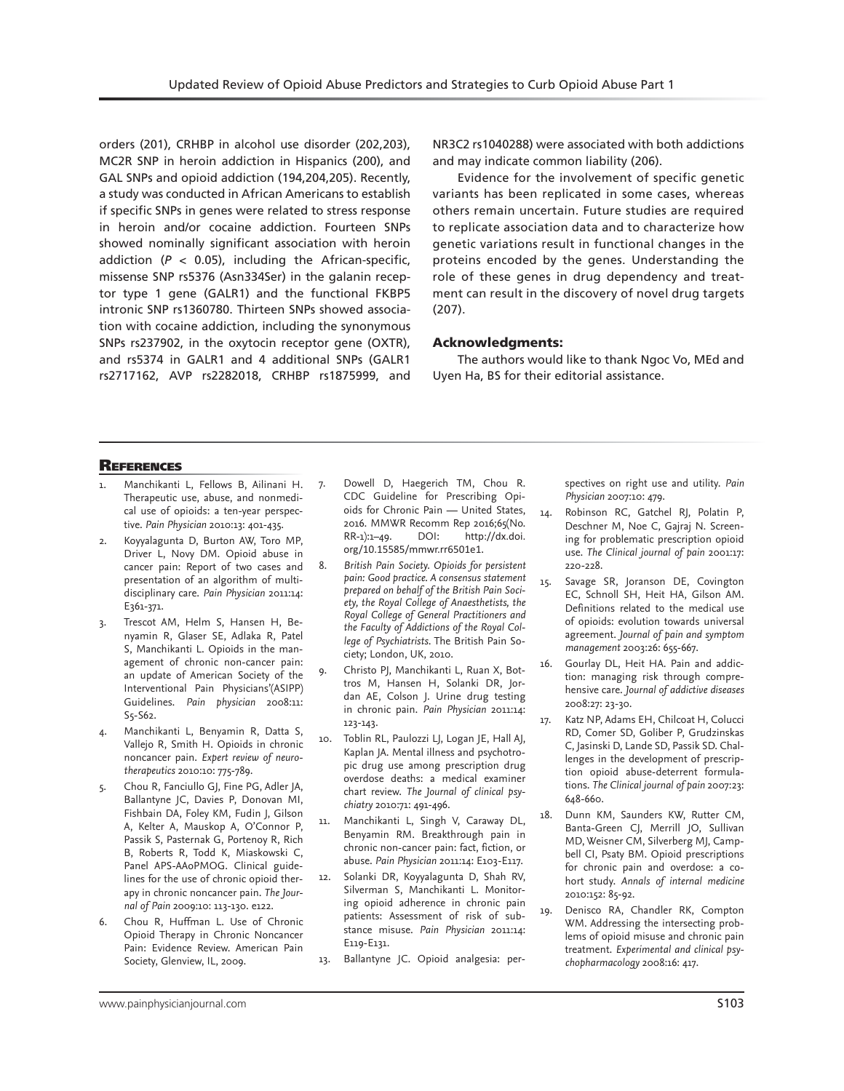orders (201), CRHBP in alcohol use disorder (202,203), MC2R SNP in heroin addiction in Hispanics (200), and GAL SNPs and opioid addiction (194,204,205). Recently, a study was conducted in African Americans to establish if specific SNPs in genes were related to stress response in heroin and/or cocaine addiction. Fourteen SNPs showed nominally significant association with heroin addiction  $(P < 0.05)$ , including the African-specific, missense SNP rs5376 (Asn334Ser) in the galanin receptor type 1 gene (GALR1) and the functional FKBP5 intronic SNP rs1360780. Thirteen SNPs showed association with cocaine addiction, including the synonymous SNPs rs237902, in the oxytocin receptor gene (OXTR), and rs5374 in GALR1 and 4 additional SNPs (GALR1 rs2717162, AVP rs2282018, CRHBP rs1875999, and

NR3C2 rs1040288) were associated with both addictions and may indicate common liability (206).

Evidence for the involvement of specific genetic variants has been replicated in some cases, whereas others remain uncertain. Future studies are required to replicate association data and to characterize how genetic variations result in functional changes in the proteins encoded by the genes. Understanding the role of these genes in drug dependency and treatment can result in the discovery of novel drug targets (207).

# Acknowledgments:

The authors would like to thank Ngoc Vo, MEd and Uyen Ha, BS for their editorial assistance.

# **REFERENCES**

- Manchikanti L, Fellows B, Ailinani H. 7. Therapeutic use, abuse, and nonmedical use of opioids: a ten-year perspective. *Pain Physician* 2010:13: 401-435.
- Koyyalagunta D, Burton AW, Toro MP, Driver L, Novy DM. Opioid abuse in cancer pain: Report of two cases and presentation of an algorithm of multidisciplinary care. *Pain Physician* 2011:14: E361-371.
- 3. Trescot AM, Helm S, Hansen H, Benyamin R, Glaser SE, Adlaka R, Patel S, Manchikanti L. Opioids in the management of chronic non-cancer pain: an update of American Society of the Interventional Pain Physicians'(ASIPP) Guidelines. *Pain physician* 2008:11: S5-S62.
- 4. Manchikanti L, Benyamin R, Datta S, Vallejo R, Smith H. Opioids in chronic noncancer pain. *Expert review of neurotherapeutics* 2010:10: 775-789.
- 5. Chou R, Fanciullo GJ, Fine PG, Adler JA, Ballantyne JC, Davies P, Donovan MI, Fishbain DA, Foley KM, Fudin J, Gilson A, Kelter A, Mauskop A, O'Connor P, Passik S, Pasternak G, Portenoy R, Rich B, Roberts R, Todd K, Miaskowski C, Panel APS-AAoPMOG. Clinical guidelines for the use of chronic opioid therapy in chronic noncancer pain. *The Journal of Pain* 2009:10: 113-130. e122.
- 6. Chou R, Huffman L. Use of Chronic Opioid Therapy in Chronic Noncancer Pain: Evidence Review. American Pain Society, Glenview, IL, 2009.
- Dowell D, Haegerich TM, Chou R. CDC Guideline for Prescribing Opioids for Chronic Pain — United States, 2016. MMWR Recomm Rep 2016;65(No. RR-1):1–49. DOI: http://dx.doi. org/10.15585/mmwr.rr6501e1.
- 8. *British Pain Society. Opioids for persistent pain: Good practice. A consensus statement prepared on behalf of the British Pain Society, the Royal College of Anaesthetists, the Royal College of General Practitioners and the Faculty of Addictions of the Royal College of Psychiatrists*. The British Pain Society; London, UK, 2010.
- 9. Christo PJ, Manchikanti L, Ruan X, Bottros M, Hansen H, Solanki DR, Jordan AE, Colson J. Urine drug testing in chronic pain. *Pain Physician* 2011:14: 123-143.
- 10. Toblin RL, Paulozzi LJ, Logan JE, Hall AJ, Kaplan JA. Mental illness and psychotropic drug use among prescription drug overdose deaths: a medical examiner chart review. *The Journal of clinical psychiatry* 2010:71: 491-496.
- 11. Manchikanti L, Singh V, Caraway DL, Benyamin RM. Breakthrough pain in chronic non-cancer pain: fact, fiction, or abuse. *Pain Physician* 2011:14: E103-E117.
- 12. Solanki DR, Koyyalagunta D, Shah RV, Silverman S, Manchikanti L. Monitoring opioid adherence in chronic pain patients: Assessment of risk of substance misuse. *Pain Physician* 2011:14: E119-E131.
- 13. Ballantyne JC. Opioid analgesia: per-

spectives on right use and utility. *Pain Physician* 2007:10: 479.

- 14. Robinson RC, Gatchel RJ, Polatin P, Deschner M, Noe C, Gajraj N. Screening for problematic prescription opioid use. *The Clinical journal of pain* 2001:17: 220-228.
- 15. Savage SR, Joranson DE, Covington EC, Schnoll SH, Heit HA, Gilson AM. Definitions related to the medical use of opioids: evolution towards universal agreement. *Journal of pain and symptom management* 2003:26: 655-667.
- 16. Gourlay DL, Heit HA. Pain and addiction: managing risk through comprehensive care. *Journal of addictive diseases*  2008:27: 23-30.
- 17. Katz NP, Adams EH, Chilcoat H, Colucci RD, Comer SD, Goliber P, Grudzinskas C, Jasinski D, Lande SD, Passik SD. Challenges in the development of prescription opioid abuse-deterrent formulations. *The Clinical journal of pain* 2007:23: 648-660.
- 18. Dunn KM, Saunders KW, Rutter CM, Banta-Green CJ, Merrill JO, Sullivan MD, Weisner CM, Silverberg MJ, Campbell CI, Psaty BM. Opioid prescriptions for chronic pain and overdose: a cohort study. *Annals of internal medicine*  2010:152: 85-92.
- 19. Denisco RA, Chandler RK, Compton WM. Addressing the intersecting problems of opioid misuse and chronic pain treatment. *Experimental and clinical psychopharmacology* 2008:16: 417.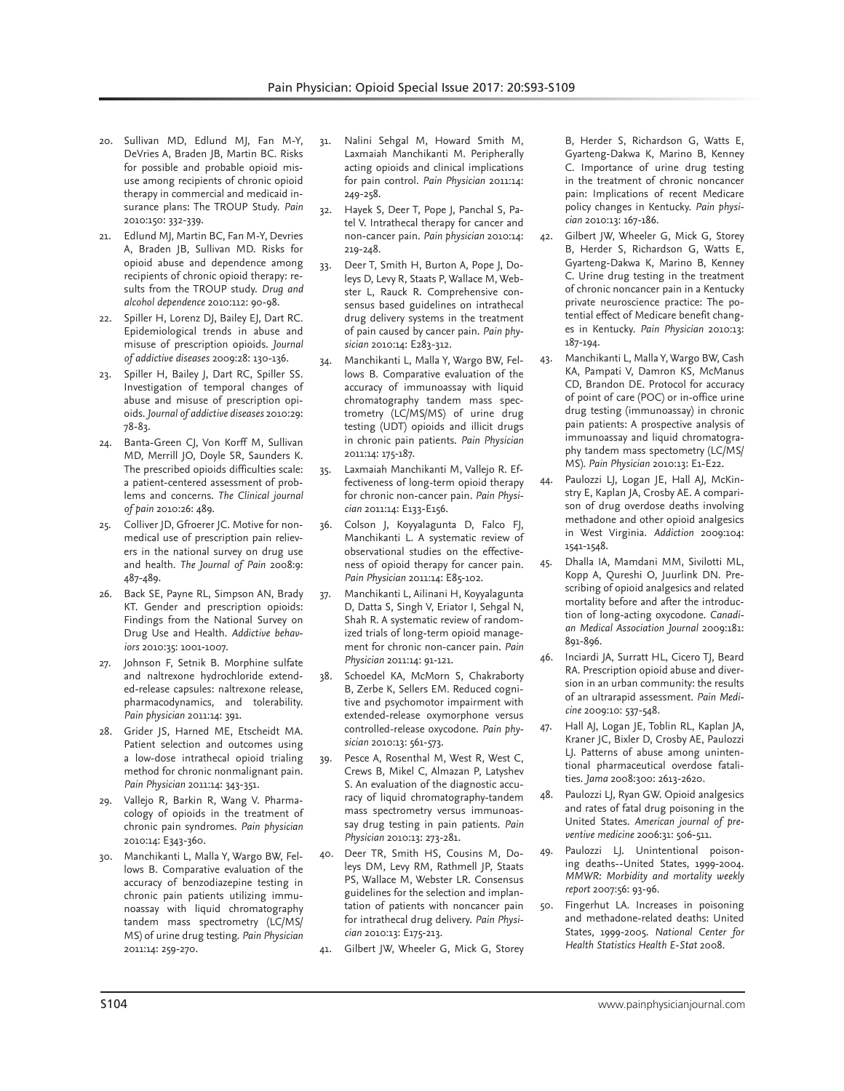- 20. Sullivan MD, Edlund MJ, Fan M-Y, DeVries A, Braden JB, Martin BC. Risks for possible and probable opioid misuse among recipients of chronic opioid therapy in commercial and medicaid insurance plans: The TROUP Study. *Pain*  2010:150: 332-339.
- 21. Edlund MJ, Martin BC, Fan M-Y, Devries A, Braden JB, Sullivan MD. Risks for opioid abuse and dependence among recipients of chronic opioid therapy: results from the TROUP study. *Drug and alcohol dependence* 2010:112: 90-98.
- 22. Spiller H, Lorenz DJ, Bailey EJ, Dart RC. Epidemiological trends in abuse and misuse of prescription opioids. *Journal of addictive diseases* 2009:28: 130-136.
- 23. Spiller H, Bailey J, Dart RC, Spiller SS. Investigation of temporal changes of abuse and misuse of prescription opioids. *Journal of addictive diseases* 2010:29: 78-83.
- 24. Banta-Green CJ, Von Korff M, Sullivan MD, Merrill JO, Doyle SR, Saunders K. The prescribed opioids difficulties scale: a patient-centered assessment of problems and concerns. *The Clinical journal of pain* 2010:26: 489.
- 25. Colliver JD, Gfroerer JC. Motive for nonmedical use of prescription pain relievers in the national survey on drug use and health. *The Journal of Pain* 2008:9: 487-489.
- 26. Back SE, Payne RL, Simpson AN, Brady KT. Gender and prescription opioids: Findings from the National Survey on Drug Use and Health. *Addictive behaviors* 2010:35: 1001-1007.
- 27. Johnson F, Setnik B. Morphine sulfate and naltrexone hydrochloride extended-release capsules: naltrexone release, pharmacodynamics, and tolerability. *Pain physician* 2011:14: 391.
- 28. Grider JS, Harned ME, Etscheidt MA. Patient selection and outcomes using a low-dose intrathecal opioid trialing method for chronic nonmalignant pain. *Pain Physician* 2011:14: 343-351.
- 29. Vallejo R, Barkin R, Wang V. Pharmacology of opioids in the treatment of chronic pain syndromes. *Pain physician*  2010:14: E343-360.
- 30. Manchikanti L, Malla Y, Wargo BW, Fellows B. Comparative evaluation of the accuracy of benzodiazepine testing in chronic pain patients utilizing immunoassay with liquid chromatography tandem mass spectrometry (LC/MS/ MS) of urine drug testing. *Pain Physician*  2011:14: 259-270.
- 31. Nalini Sehgal M, Howard Smith M, Laxmaiah Manchikanti M. Peripherally acting opioids and clinical implications for pain control. *Pain Physician* 2011:14: 249-258.
- 32. Hayek S, Deer T, Pope J, Panchal S, Patel V. Intrathecal therapy for cancer and non-cancer pain. *Pain physician* 2010:14: 219-248.
- 33. Deer T, Smith H, Burton A, Pope J, Doleys D, Levy R, Staats P, Wallace M, Webster L, Rauck R. Comprehensive consensus based guidelines on intrathecal drug delivery systems in the treatment of pain caused by cancer pain. *Pain physician* 2010:14: E283-312.
- Manchikanti L, Malla Y, Wargo BW, Fellows B. Comparative evaluation of the accuracy of immunoassay with liquid chromatography tandem mass spectrometry (LC/MS/MS) of urine drug testing (UDT) opioids and illicit drugs in chronic pain patients. *Pain Physician*  2011:14: 175-187.
- 35. Laxmaiah Manchikanti M, Vallejo R. Effectiveness of long-term opioid therapy for chronic non-cancer pain. *Pain Physician* 2011:14: E133-E156.
- 36. Colson J, Koyyalagunta D, Falco FJ, Manchikanti L. A systematic review of observational studies on the effectiveness of opioid therapy for cancer pain. *Pain Physician* 2011:14: E85-102.
- 37. Manchikanti L, Ailinani H, Koyyalagunta D, Datta S, Singh V, Eriator I, Sehgal N, Shah R. A systematic review of randomized trials of long-term opioid management for chronic non-cancer pain. *Pain Physician* 2011:14: 91-121.
- 38. Schoedel KA, McMorn S, Chakraborty B, Zerbe K, Sellers EM. Reduced cognitive and psychomotor impairment with extended-release oxymorphone versus controlled-release oxycodone. *Pain physician* 2010:13: 561-573.
- 39. Pesce A, Rosenthal M, West R, West C, Crews B, Mikel C, Almazan P, Latyshev S. An evaluation of the diagnostic accuracy of liquid chromatography-tandem mass spectrometry versus immunoassay drug testing in pain patients. *Pain Physician* 2010:13: 273-281.
- Deer TR, Smith HS, Cousins M, Doleys DM, Levy RM, Rathmell JP, Staats PS, Wallace M, Webster LR. Consensus guidelines for the selection and implantation of patients with noncancer pain for intrathecal drug delivery. *Pain Physician* 2010:13: E175-213.
- 41. Gilbert JW, Wheeler G, Mick G, Storey

B, Herder S, Richardson G, Watts E, Gyarteng-Dakwa K, Marino B, Kenney C. Importance of urine drug testing in the treatment of chronic noncancer pain: Implications of recent Medicare policy changes in Kentucky. *Pain physician* 2010:13: 167-186.

- 42. Gilbert JW, Wheeler G, Mick G, Storey B, Herder S, Richardson G, Watts E, Gyarteng-Dakwa K, Marino B, Kenney C. Urine drug testing in the treatment of chronic noncancer pain in a Kentucky private neuroscience practice: The potential effect of Medicare benefit changes in Kentucky. *Pain Physician* 2010:13: 187-194.
- 43. Manchikanti L, Malla Y, Wargo BW, Cash KA, Pampati V, Damron KS, McManus CD, Brandon DE. Protocol for accuracy of point of care (POC) or in-office urine drug testing (immunoassay) in chronic pain patients: A prospective analysis of immunoassay and liquid chromatography tandem mass spectometry (LC/MS/ MS). *Pain Physician* 2010:13: E1-E22.
- 44. Paulozzi LJ, Logan JE, Hall AJ, McKinstry E, Kaplan JA, Crosby AE. A comparison of drug overdose deaths involving methadone and other opioid analgesics in West Virginia. *Addiction* 2009:104: 1541-1548.
- 45. Dhalla IA, Mamdani MM, Sivilotti ML, Kopp A, Qureshi O, Juurlink DN. Prescribing of opioid analgesics and related mortality before and after the introduction of long-acting oxycodone. *Canadian Medical Association Journal* 2009:181: 891-896.
- 46. Inciardi JA, Surratt HL, Cicero TJ, Beard RA. Prescription opioid abuse and diversion in an urban community: the results of an ultrarapid assessment. *Pain Medicine* 2009:10: 537-548.
- 47. Hall AJ, Logan JE, Toblin RL, Kaplan JA, Kraner JC, Bixler D, Crosby AE, Paulozzi LJ. Patterns of abuse among unintentional pharmaceutical overdose fatalities. *Jama* 2008:300: 2613-2620.
- Paulozzi LJ, Ryan GW. Opioid analgesics and rates of fatal drug poisoning in the United States. *American journal of preventive medicine* 2006:31: 506-511.
- 49. Paulozzi LJ. Unintentional poisoning deaths--United States, 1999-2004. *MMWR: Morbidity and mortality weekly report* 2007:56: 93-96.
- 50. Fingerhut LA. Increases in poisoning and methadone-related deaths: United States, 1999-2005. *National Center for Health Statistics Health E-Stat* 2008.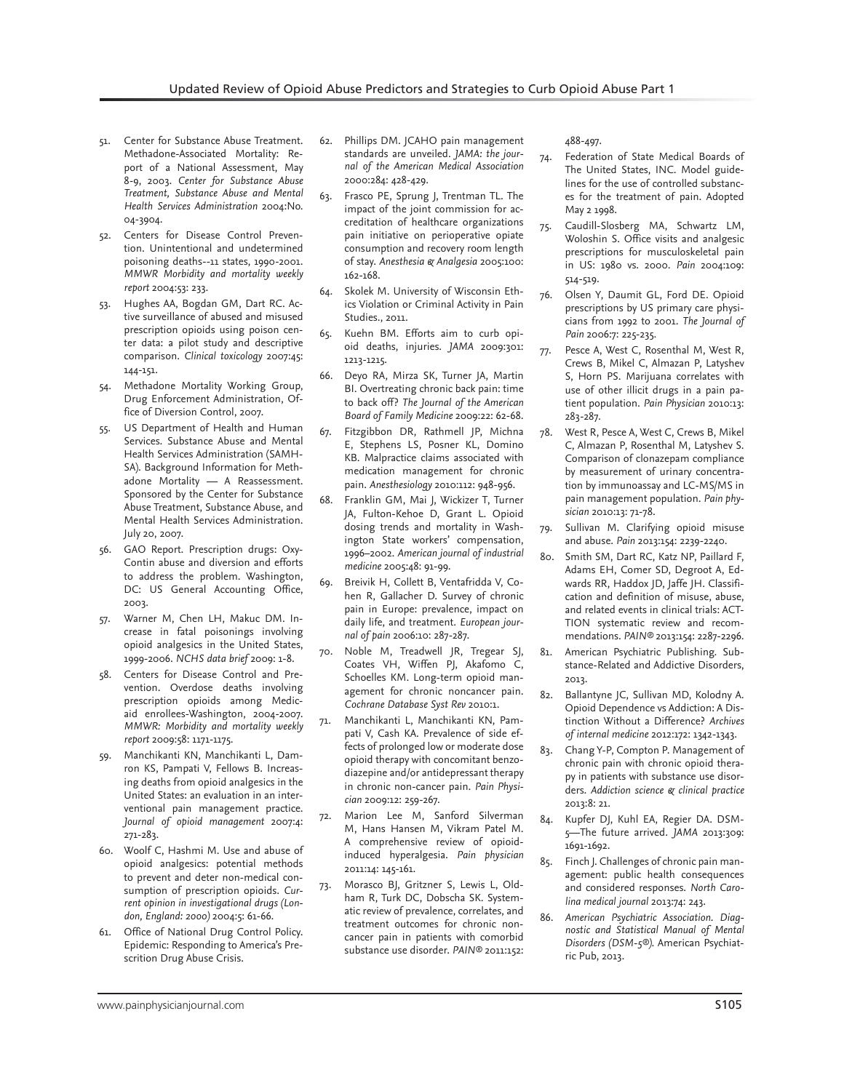- 51. Center for Substance Abuse Treatment. Methadone-Associated Mortality: Report of a National Assessment, May 8-9, 2003. *Center for Substance Abuse Treatment, Substance Abuse and Mental Health Services Administration* 2004:No. 04-3904.
- 52. Centers for Disease Control Prevention. Unintentional and undetermined poisoning deaths--11 states, 1990-2001. *MMWR Morbidity and mortality weekly report* 2004:53: 233.
- 53. Hughes AA, Bogdan GM, Dart RC. Active surveillance of abused and misused prescription opioids using poison center data: a pilot study and descriptive comparison. *Clinical toxicology* 2007:45: 144-151.
- 54. Methadone Mortality Working Group, Drug Enforcement Administration, Office of Diversion Control, 2007.
- 55. US Department of Health and Human Services. Substance Abuse and Mental Health Services Administration (SAMH-SA). Background Information for Methadone Mortality — A Reassessment. Sponsored by the Center for Substance Abuse Treatment, Substance Abuse, and Mental Health Services Administration. July 20, 2007.
- 56. GAO Report. Prescription drugs: Oxy-Contin abuse and diversion and efforts to address the problem. Washington, DC: US General Accounting Office, 2003.
- 57. Warner M, Chen LH, Makuc DM. Increase in fatal poisonings involving opioid analgesics in the United States, 1999-2006. *NCHS data brief* 2009: 1-8.
- 58. Centers for Disease Control and Prevention. Overdose deaths involving prescription opioids among Medicaid enrollees-Washington, 2004-2007. *MMWR: Morbidity and mortality weekly report* 2009:58: 1171-1175.
- 59. Manchikanti KN, Manchikanti L, Damron KS, Pampati V, Fellows B. Increasing deaths from opioid analgesics in the United States: an evaluation in an interventional pain management practice. *Journal of opioid management* 2007:4: 271-283.
- 60. Woolf C, Hashmi M. Use and abuse of opioid analgesics: potential methods to prevent and deter non-medical consumption of prescription opioids. *Current opinion in investigational drugs (London, England: 2000)* 2004:5: 61-66.
- 61. Office of National Drug Control Policy. Epidemic: Responding to America's Prescrition Drug Abuse Crisis.
- 62. Phillips DM. JCAHO pain management standards are unveiled. *JAMA: the journal of the American Medical Association*  2000:284: 428-429.
- 63. Frasco PE, Sprung J, Trentman TL. The impact of the joint commission for accreditation of healthcare organizations pain initiative on perioperative opiate consumption and recovery room length of stay. *Anesthesia & Analgesia* 2005:100: 162-168.
- 64. Skolek M. University of Wisconsin Ethics Violation or Criminal Activity in Pain Studies., 2011.
- 65. Kuehn BM. Efforts aim to curb opioid deaths, injuries. *JAMA* 2009:301: 1213-1215.
- 66. Deyo RA, Mirza SK, Turner JA, Martin BI. Overtreating chronic back pain: time to back off? *The Journal of the American Board of Family Medicine* 2009:22: 62-68.
- 67. Fitzgibbon DR, Rathmell JP, Michna E, Stephens LS, Posner KL, Domino KB. Malpractice claims associated with medication management for chronic pain. *Anesthesiology* 2010:112: 948-956.
- 68. Franklin GM, Mai J, Wickizer T, Turner JA, Fulton-Kehoe D, Grant L. Opioid dosing trends and mortality in Washington State workers' compensation, 1996–2002. *American journal of industrial medicine* 2005:48: 91-99.
- 69. Breivik H, Collett B, Ventafridda V, Cohen R, Gallacher D. Survey of chronic pain in Europe: prevalence, impact on daily life, and treatment. *European journal of pain* 2006:10: 287-287.
- 70. Noble M, Treadwell JR, Tregear SJ, Coates VH, Wiffen PJ, Akafomo C, Schoelles KM. Long-term opioid management for chronic noncancer pain. *Cochrane Database Syst Rev* 2010:1.
- 71. Manchikanti L, Manchikanti KN, Pampati V, Cash KA. Prevalence of side effects of prolonged low or moderate dose opioid therapy with concomitant benzodiazepine and/or antidepressant therapy in chronic non-cancer pain. *Pain Physician* 2009:12: 259-267.
- 72. Marion Lee M, Sanford Silverman M, Hans Hansen M, Vikram Patel M. A comprehensive review of opioidinduced hyperalgesia. *Pain physician*  2011:14: 145-161.
- 73. Morasco BJ, Gritzner S, Lewis L, Oldham R, Turk DC, Dobscha SK. Systematic review of prevalence, correlates, and treatment outcomes for chronic noncancer pain in patients with comorbid substance use disorder. *PAIN®* 2011:152:

488-497.

- 74. Federation of State Medical Boards of The United States, INC. Model guidelines for the use of controlled substances for the treatment of pain. Adopted May 2 1998.
- 75. Caudill-Slosberg MA, Schwartz LM, Woloshin S. Office visits and analgesic prescriptions for musculoskeletal pain in US: 1980 vs. 2000. *Pain* 2004:109: 514-519.
- 76. Olsen Y, Daumit GL, Ford DE. Opioid prescriptions by US primary care physicians from 1992 to 2001. *The Journal of Pain* 2006:7: 225-235.
- 77. Pesce A, West C, Rosenthal M, West R, Crews B, Mikel C, Almazan P, Latyshev S, Horn PS. Marijuana correlates with use of other illicit drugs in a pain patient population. *Pain Physician* 2010:13: 283-287.
- 78. West R, Pesce A, West C, Crews B, Mikel C, Almazan P, Rosenthal M, Latyshev S. Comparison of clonazepam compliance by measurement of urinary concentration by immunoassay and LC-MS/MS in pain management population. *Pain physician* 2010:13: 71-78.
- 79. Sullivan M. Clarifying opioid misuse and abuse. *Pain* 2013:154: 2239-2240.
- 80. Smith SM, Dart RC, Katz NP, Paillard F, Adams EH, Comer SD, Degroot A, Edwards RR, Haddox JD, Jaffe JH. Classification and definition of misuse, abuse, and related events in clinical trials: ACT-TION systematic review and recommendations. *PAIN®* 2013:154: 2287-2296.
- 81. American Psychiatric Publishing. Substance-Related and Addictive Disorders, 2013.
- 82. Ballantyne JC, Sullivan MD, Kolodny A. Opioid Dependence vs Addiction: A Distinction Without a Difference? *Archives of internal medicine* 2012:172: 1342-1343.
- 83. Chang Y-P, Compton P. Management of chronic pain with chronic opioid therapy in patients with substance use disorders. *Addiction science & clinical practice*  2013:8: 21.
- 84. Kupfer DJ, Kuhl EA, Regier DA. DSM-5—The future arrived. *JAMA* 2013:309: 1691-1692.
- Finch J. Challenges of chronic pain management: public health consequences and considered responses. *North Carolina medical journal* 2013:74: 243.
- 86. *American Psychiatric Association. Diagnostic and Statistical Manual of Mental Disorders (DSM-5®)*. American Psychiatric Pub, 2013.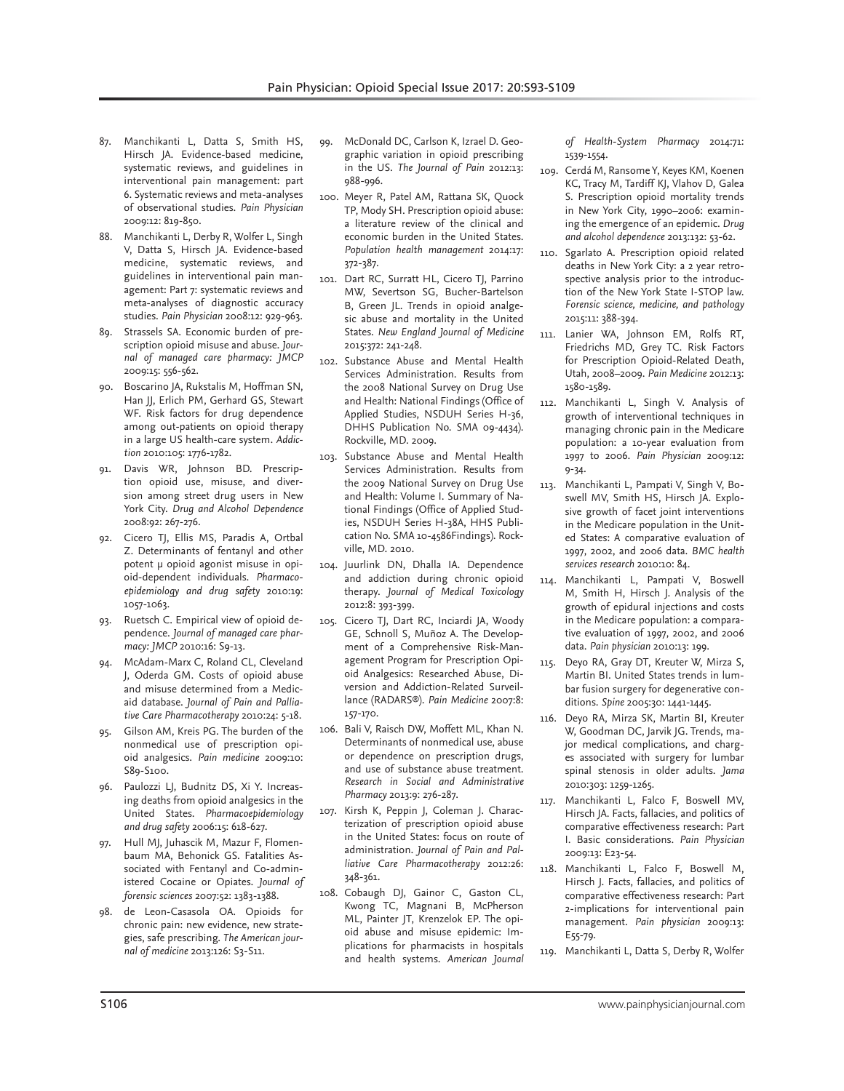- 87. Manchikanti L, Datta S, Smith HS, Hirsch JA. Evidence-based medicine, systematic reviews, and guidelines in interventional pain management: part 6. Systematic reviews and meta-analyses of observational studies. *Pain Physician*  2009:12: 819-850.
- 88. Manchikanti L, Derby R, Wolfer L, Singh V, Datta S, Hirsch JA. Evidence-based medicine, systematic reviews, and guidelines in interventional pain management: Part 7: systematic reviews and meta-analyses of diagnostic accuracy studies. *Pain Physician* 2008:12: 929-963.
- 89. Strassels SA. Economic burden of prescription opioid misuse and abuse. *Journal of managed care pharmacy: JMCP*  2009:15: 556-562.
- 90. Boscarino JA, Rukstalis M, Hoffman SN, Han JJ, Erlich PM, Gerhard GS, Stewart WF. Risk factors for drug dependence among out-patients on opioid therapy in a large US health-care system. *Addiction* 2010:105: 1776-1782.
- 91. Davis WR, Johnson BD. Prescription opioid use, misuse, and diversion among street drug users in New York City. *Drug and Alcohol Dependence*  2008:92: 267-276.
- 92. Cicero TJ, Ellis MS, Paradis A, Ortbal Z. Determinants of fentanyl and other potent µ opioid agonist misuse in opioid-dependent individuals. *Pharmacoepidemiology and drug safety* 2010:19: 1057-1063.
- 93. Ruetsch C. Empirical view of opioid dependence. *Journal of managed care pharmacy: JMCP* 2010:16: S9-13.
- 94. McAdam-Marx C, Roland CL, Cleveland J, Oderda GM. Costs of opioid abuse and misuse determined from a Medicaid database. *Journal of Pain and Palliative Care Pharmacotherapy* 2010:24: 5-18.
- 95. Gilson AM, Kreis PG. The burden of the nonmedical use of prescription opioid analgesics. *Pain medicine* 2009:10: S89-S100.
- 96. Paulozzi LJ, Budnitz DS, Xi Y. Increasing deaths from opioid analgesics in the United States. *Pharmacoepidemiology and drug safety* 2006:15: 618-627.
- 97. Hull MJ, Juhascik M, Mazur F, Flomenbaum MA, Behonick GS. Fatalities Associated with Fentanyl and Co-administered Cocaine or Opiates. *Journal of forensic sciences* 2007:52: 1383-1388.
- 98. de Leon-Casasola OA. Opioids for chronic pain: new evidence, new strategies, safe prescribing. *The American journal of medicine* 2013:126: S3-S11.
- 99. McDonald DC, Carlson K, Izrael D. Geographic variation in opioid prescribing in the US. *The Journal of Pain* 2012:13: 988-996.
- 100. Meyer R, Patel AM, Rattana SK, Quock TP, Mody SH. Prescription opioid abuse: a literature review of the clinical and economic burden in the United States. *Population health management* 2014:17: 372-387.
- 101. Dart RC, Surratt HL, Cicero TJ, Parrino MW, Severtson SG, Bucher-Bartelson B, Green JL. Trends in opioid analgesic abuse and mortality in the United States. *New England Journal of Medicine*  2015:372: 241-248.
- 102. Substance Abuse and Mental Health Services Administration. Results from the 2008 National Survey on Drug Use and Health: National Findings (Office of Applied Studies, NSDUH Series H-36, DHHS Publication No. SMA 09-4434). Rockville, MD. 2009.
- 103. Substance Abuse and Mental Health Services Administration. Results from the 2009 National Survey on Drug Use and Health: Volume I. Summary of National Findings (Office of Applied Studies, NSDUH Series H-38A, HHS Publication No. SMA 10-4586Findings). Rockville, MD. 2010.
- 104. Juurlink DN, Dhalla IA. Dependence and addiction during chronic opioid therapy. *Journal of Medical Toxicology*  2012:8: 393-399.
- 105. Cicero TJ, Dart RC, Inciardi JA, Woody GE, Schnoll S, Muñoz A. The Development of a Comprehensive Risk-Management Program for Prescription Opioid Analgesics: Researched Abuse, Diversion and Addiction-Related Surveillance (RADARS®). *Pain Medicine* 2007:8: 157-170.
- 106. Bali V, Raisch DW, Moffett ML, Khan N. Determinants of nonmedical use, abuse or dependence on prescription drugs, and use of substance abuse treatment. *Research in Social and Administrative Pharmacy* 2013:9: 276-287.
- 107. Kirsh K, Peppin J, Coleman J. Characterization of prescription opioid abuse in the United States: focus on route of administration. *Journal of Pain and Palliative Care Pharmacotherapy* 2012:26: 348-361.
- 108. Cobaugh DJ, Gainor C, Gaston CL, Kwong TC, Magnani B, McPherson ML, Painter JT, Krenzelok EP. The opioid abuse and misuse epidemic: Implications for pharmacists in hospitals and health systems. *American Journal*

*of Health-System Pharmacy* 2014:71: 1539-1554.

- 109. Cerdá M, Ransome Y, Keyes KM, Koenen KC, Tracy M, Tardiff KJ, Vlahov D, Galea S. Prescription opioid mortality trends in New York City, 1990–2006: examining the emergence of an epidemic. *Drug and alcohol dependence* 2013:132: 53-62.
- 110. Sgarlato A. Prescription opioid related deaths in New York City: a 2 year retrospective analysis prior to the introduction of the New York State I-STOP law. *Forensic science, medicine, and pathology*  2015:11: 388-394.
- 111. Lanier WA, Johnson EM, Rolfs RT, Friedrichs MD, Grey TC. Risk Factors for Prescription Opioid-Related Death, Utah, 2008–2009. *Pain Medicine* 2012:13: 1580-1589.
- 112. Manchikanti L, Singh V. Analysis of growth of interventional techniques in managing chronic pain in the Medicare population: a 10-year evaluation from 1997 to 2006. *Pain Physician* 2009:12: 9-34.
- 113. Manchikanti L, Pampati V, Singh V, Boswell MV, Smith HS, Hirsch JA. Explosive growth of facet joint interventions in the Medicare population in the United States: A comparative evaluation of 1997, 2002, and 2006 data. *BMC health services research* 2010:10: 84.
- 114. Manchikanti L, Pampati V, Boswell M, Smith H, Hirsch J. Analysis of the growth of epidural injections and costs in the Medicare population: a comparative evaluation of 1997, 2002, and 2006 data. *Pain physician* 2010:13: 199.
- 115. Deyo RA, Gray DT, Kreuter W, Mirza S, Martin BI. United States trends in lumbar fusion surgery for degenerative conditions. *Spine* 2005:30: 1441-1445.
- 116. Deyo RA, Mirza SK, Martin BI, Kreuter W, Goodman DC, Jarvik JG. Trends, major medical complications, and charges associated with surgery for lumbar spinal stenosis in older adults. *Jama*  2010:303: 1259-1265.
- 117. Manchikanti L, Falco F, Boswell MV, Hirsch JA. Facts, fallacies, and politics of comparative effectiveness research: Part I. Basic considerations. *Pain Physician*  2009:13: E23-54.
- 118. Manchikanti L, Falco F, Boswell M, Hirsch J. Facts, fallacies, and politics of comparative effectiveness research: Part 2-implications for interventional pain management. *Pain physician* 2009:13: E55-79.
- 119. Manchikanti L, Datta S, Derby R, Wolfer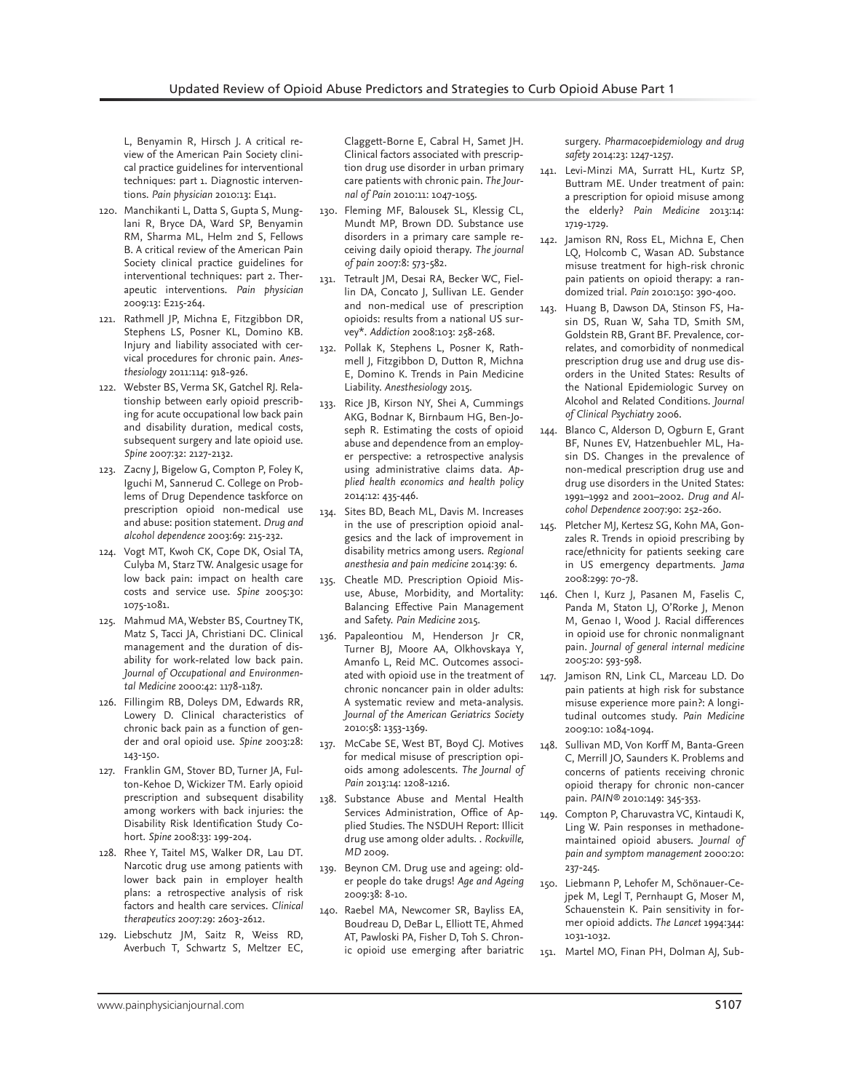L, Benyamin R, Hirsch J. A critical review of the American Pain Society clinical practice guidelines for interventional techniques: part 1. Diagnostic interventions. *Pain physician* 2010:13: E141.

- 120. Manchikanti L, Datta S, Gupta S, Munglani R, Bryce DA, Ward SP, Benyamin RM, Sharma ML, Helm 2nd S, Fellows B. A critical review of the American Pain Society clinical practice guidelines for interventional techniques: part 2. Therapeutic interventions. *Pain physician*  2009:13: E215-264.
- 121. Rathmell JP, Michna E, Fitzgibbon DR, Stephens LS, Posner KL, Domino KB. Injury and liability associated with cervical procedures for chronic pain. *Anesthesiology* 2011:114: 918-926.
- 122. Webster BS, Verma SK, Gatchel RJ. Relationship between early opioid prescribing for acute occupational low back pain and disability duration, medical costs, subsequent surgery and late opioid use. *Spine* 2007:32: 2127-2132.
- 123. Zacny J, Bigelow G, Compton P, Foley K, Iguchi M, Sannerud C. College on Problems of Drug Dependence taskforce on prescription opioid non-medical use and abuse: position statement. *Drug and alcohol dependence* 2003:69: 215-232.
- 124. Vogt MT, Kwoh CK, Cope DK, Osial TA, Culyba M, Starz TW. Analgesic usage for low back pain: impact on health care costs and service use. *Spine* 2005:30: 1075-1081.
- 125. Mahmud MA, Webster BS, Courtney TK, Matz S, Tacci JA, Christiani DC. Clinical management and the duration of disability for work-related low back pain. *Journal of Occupational and Environmental Medicine* 2000:42: 1178-1187.
- 126. Fillingim RB, Doleys DM, Edwards RR, Lowery D. Clinical characteristics of chronic back pain as a function of gender and oral opioid use. *Spine* 2003:28: 143-150.
- 127. Franklin GM, Stover BD, Turner JA, Fulton-Kehoe D, Wickizer TM. Early opioid prescription and subsequent disability among workers with back injuries: the Disability Risk Identification Study Cohort. *Spine* 2008:33: 199-204.
- 128. Rhee Y, Taitel MS, Walker DR, Lau DT. Narcotic drug use among patients with lower back pain in employer health plans: a retrospective analysis of risk factors and health care services. *Clinical therapeutics* 2007:29: 2603-2612.
- 129. Liebschutz JM, Saitz R, Weiss RD, Averbuch T, Schwartz S, Meltzer EC,

Claggett-Borne E, Cabral H, Samet JH. Clinical factors associated with prescription drug use disorder in urban primary care patients with chronic pain. *The Journal of Pain* 2010:11: 1047-1055.

- 130. Fleming MF, Balousek SL, Klessig CL, Mundt MP, Brown DD. Substance use disorders in a primary care sample receiving daily opioid therapy. *The journal of pain* 2007:8: 573-582.
- 131. Tetrault JM, Desai RA, Becker WC, Fiellin DA, Concato J, Sullivan LE. Gender and non-medical use of prescription opioids: results from a national US survey\*. *Addiction* 2008:103: 258-268.
- 132. Pollak K, Stephens L, Posner K, Rathmell J, Fitzgibbon D, Dutton R, Michna E, Domino K. Trends in Pain Medicine Liability. *Anesthesiology* 2015.
- 133. Rice JB, Kirson NY, Shei A, Cummings AKG, Bodnar K, Birnbaum HG, Ben-Joseph R. Estimating the costs of opioid abuse and dependence from an employer perspective: a retrospective analysis using administrative claims data. *Applied health economics and health policy*  2014:12: 435-446.
- 134. Sites BD, Beach ML, Davis M. Increases in the use of prescription opioid analgesics and the lack of improvement in disability metrics among users. *Regional anesthesia and pain medicine* 2014:39: 6.
- 135. Cheatle MD. Prescription Opioid Misuse, Abuse, Morbidity, and Mortality: Balancing Effective Pain Management and Safety. *Pain Medicine* 2015.
- 136. Papaleontiou M, Henderson Jr CR, Turner BJ, Moore AA, Olkhovskaya Y, Amanfo L, Reid MC. Outcomes associated with opioid use in the treatment of chronic noncancer pain in older adults: A systematic review and meta-analysis. *Journal of the American Geriatrics Society*  2010:58: 1353-1369.
- 137. McCabe SE, West BT, Boyd CJ. Motives for medical misuse of prescription opioids among adolescents. *The Journal of Pain* 2013:14: 1208-1216.
- 138. Substance Abuse and Mental Health Services Administration, Office of Applied Studies. The NSDUH Report: Illicit drug use among older adults. . *Rockville, MD* 2009.
- 139. Beynon CM. Drug use and ageing: older people do take drugs! *Age and Ageing*  2009:38: 8-10.
- 140. Raebel MA, Newcomer SR, Bayliss EA, Boudreau D, DeBar L, Elliott TE, Ahmed AT, Pawloski PA, Fisher D, Toh S. Chronic opioid use emerging after bariatric

surgery. *Pharmacoepidemiology and drug safety* 2014:23: 1247-1257.

- 141. Levi-Minzi MA, Surratt HL, Kurtz SP, Buttram ME. Under treatment of pain: a prescription for opioid misuse among the elderly? *Pain Medicine* 2013:14: 1719-1729.
- 142. Jamison RN, Ross EL, Michna E, Chen LQ, Holcomb C, Wasan AD. Substance misuse treatment for high-risk chronic pain patients on opioid therapy: a randomized trial. *Pain* 2010:150: 390-400.
- 143. Huang B, Dawson DA, Stinson FS, Hasin DS, Ruan W, Saha TD, Smith SM, Goldstein RB, Grant BF. Prevalence, correlates, and comorbidity of nonmedical prescription drug use and drug use disorders in the United States: Results of the National Epidemiologic Survey on Alcohol and Related Conditions. *Journal of Clinical Psychiatry* 2006.
- 144. Blanco C, Alderson D, Ogburn E, Grant BF, Nunes EV, Hatzenbuehler ML, Hasin DS. Changes in the prevalence of non-medical prescription drug use and drug use disorders in the United States: 1991–1992 and 2001–2002. *Drug and Alcohol Dependence* 2007:90: 252-260.
- 145. Pletcher MJ, Kertesz SG, Kohn MA, Gonzales R. Trends in opioid prescribing by race/ethnicity for patients seeking care in US emergency departments. *Jama*  2008:299: 70-78.
- 146. Chen I, Kurz J, Pasanen M, Faselis C, Panda M, Staton LJ, O'Rorke J, Menon M, Genao I, Wood J. Racial differences in opioid use for chronic nonmalignant pain. *Journal of general internal medicine*  2005:20: 593-598.
- 147. Jamison RN, Link CL, Marceau LD. Do pain patients at high risk for substance misuse experience more pain?: A longitudinal outcomes study. *Pain Medicine*  2009:10: 1084-1094.
- 148. Sullivan MD, Von Korff M, Banta-Green C, Merrill JO, Saunders K. Problems and concerns of patients receiving chronic opioid therapy for chronic non-cancer pain. *PAIN®* 2010:149: 345-353.
- 149. Compton P, Charuvastra VC, Kintaudi K, Ling W. Pain responses in methadonemaintained opioid abusers. *Journal of pain and symptom management* 2000:20: 237-245.
- 150. Liebmann P, Lehofer M, Schönauer-Cejpek M, Legl T, Pernhaupt G, Moser M, Schauenstein K. Pain sensitivity in former opioid addicts. *The Lancet* 1994:344: 1031-1032.
- 151. Martel MO, Finan PH, Dolman AJ, Sub-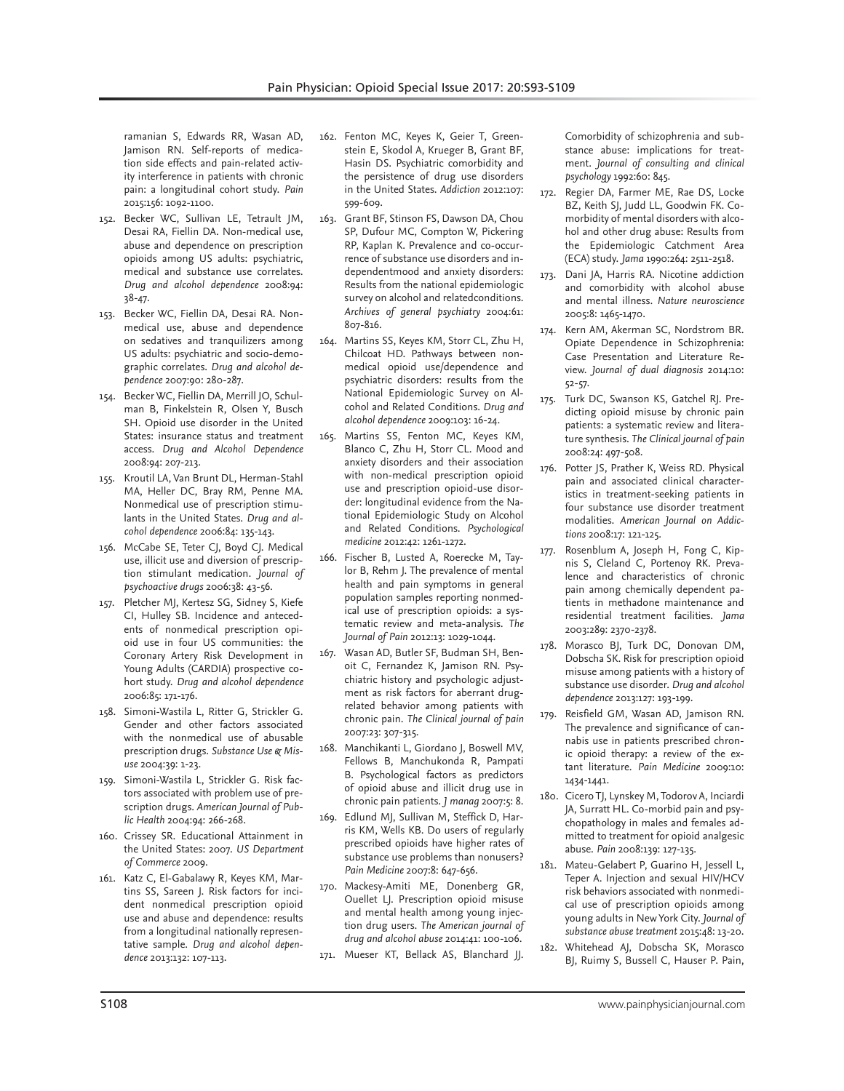ramanian S, Edwards RR, Wasan AD, Jamison RN. Self-reports of medication side effects and pain-related activity interference in patients with chronic pain: a longitudinal cohort study. *Pain*  2015:156: 1092-1100.

- 152. Becker WC, Sullivan LE, Tetrault JM, Desai RA, Fiellin DA. Non-medical use, abuse and dependence on prescription opioids among US adults: psychiatric, medical and substance use correlates. *Drug and alcohol dependence* 2008:94: 38-47.
- 153. Becker WC, Fiellin DA, Desai RA. Nonmedical use, abuse and dependence on sedatives and tranquilizers among US adults: psychiatric and socio-demographic correlates. *Drug and alcohol dependence* 2007:90: 280-287.
- 154. Becker WC, Fiellin DA, Merrill JO, Schulman B, Finkelstein R, Olsen Y, Busch SH. Opioid use disorder in the United States: insurance status and treatment access. *Drug and Alcohol Dependence*  2008:94: 207-213.
- 155. Kroutil LA, Van Brunt DL, Herman-Stahl MA, Heller DC, Bray RM, Penne MA. Nonmedical use of prescription stimulants in the United States. *Drug and alcohol dependence* 2006:84: 135-143.
- 156. McCabe SE, Teter CJ, Boyd CJ. Medical use, illicit use and diversion of prescription stimulant medication. *Journal of psychoactive drugs* 2006:38: 43-56.
- 157. Pletcher MJ, Kertesz SG, Sidney S, Kiefe CI, Hulley SB. Incidence and antecedents of nonmedical prescription opioid use in four US communities: the Coronary Artery Risk Development in Young Adults (CARDIA) prospective cohort study. *Drug and alcohol dependence*  2006:85: 171-176.
- 158. Simoni-Wastila L, Ritter G, Strickler G. Gender and other factors associated with the nonmedical use of abusable prescription drugs. *Substance Use & Misuse* 2004:39: 1-23.
- 159. Simoni-Wastila L, Strickler G. Risk factors associated with problem use of prescription drugs. *American Journal of Public Health* 2004:94: 266-268.
- 160. Crissey SR. Educational Attainment in the United States: 2007. *US Department of Commerce* 2009.
- 161. Katz C, El-Gabalawy R, Keyes KM, Martins SS, Sareen J. Risk factors for incident nonmedical prescription opioid use and abuse and dependence: results from a longitudinal nationally representative sample. *Drug and alcohol dependence* 2013:132: 107-113.
- 162. Fenton MC, Keyes K, Geier T, Greenstein E, Skodol A, Krueger B, Grant BF, Hasin DS. Psychiatric comorbidity and the persistence of drug use disorders in the United States. *Addiction* 2012:107: 599-609.
- 163. Grant BF, Stinson FS, Dawson DA, Chou SP, Dufour MC, Compton W, Pickering RP, Kaplan K. Prevalence and co-occurrence of substance use disorders and independentmood and anxiety disorders: Results from the national epidemiologic survey on alcohol and relatedconditions. *Archives of general psychiatry* 2004:61: 807-816.
- 164. Martins SS, Keyes KM, Storr CL, Zhu H, Chilcoat HD. Pathways between nonmedical opioid use/dependence and psychiatric disorders: results from the National Epidemiologic Survey on Alcohol and Related Conditions. *Drug and alcohol dependence* 2009:103: 16-24.
- 165. Martins SS, Fenton MC, Keyes KM, Blanco C, Zhu H, Storr CL. Mood and anxiety disorders and their association with non-medical prescription opioid use and prescription opioid-use disorder: longitudinal evidence from the National Epidemiologic Study on Alcohol and Related Conditions. *Psychological medicine* 2012:42: 1261-1272.
- 166. Fischer B, Lusted A, Roerecke M, Taylor B, Rehm J. The prevalence of mental health and pain symptoms in general population samples reporting nonmedical use of prescription opioids: a systematic review and meta-analysis. *The Journal of Pain* 2012:13: 1029-1044.
- 167. Wasan AD, Butler SF, Budman SH, Benoit C, Fernandez K, Jamison RN. Psychiatric history and psychologic adjustment as risk factors for aberrant drugrelated behavior among patients with chronic pain. *The Clinical journal of pain*  2007:23: 307-315.
- 168. Manchikanti L, Giordano J, Boswell MV, Fellows B, Manchukonda R, Pampati B. Psychological factors as predictors of opioid abuse and illicit drug use in chronic pain patients. *J manag* 2007:5: 8.
- 169. Edlund MJ, Sullivan M, Steffick D, Harris KM, Wells KB. Do users of regularly prescribed opioids have higher rates of substance use problems than nonusers? *Pain Medicine* 2007:8: 647-656.
- 170. Mackesy-Amiti ME, Donenberg GR, Ouellet LJ. Prescription opioid misuse and mental health among young injection drug users. *The American journal of drug and alcohol abuse* 2014:41: 100-106.
- 171. Mueser KT, Bellack AS, Blanchard JJ.

Comorbidity of schizophrenia and substance abuse: implications for treatment. *Journal of consulting and clinical psychology* 1992:60: 845.

- 172. Regier DA, Farmer ME, Rae DS, Locke BZ, Keith SJ, Judd LL, Goodwin FK. Comorbidity of mental disorders with alcohol and other drug abuse: Results from the Epidemiologic Catchment Area (ECA) study. *Jama* 1990:264: 2511-2518.
- 173. Dani JA, Harris RA. Nicotine addiction and comorbidity with alcohol abuse and mental illness. *Nature neuroscience*  2005:8: 1465-1470.
- 174. Kern AM, Akerman SC, Nordstrom BR. Opiate Dependence in Schizophrenia: Case Presentation and Literature Review. *Journal of dual diagnosis* 2014:10: 52-57.
- 175. Turk DC, Swanson KS, Gatchel RJ. Predicting opioid misuse by chronic pain patients: a systematic review and literature synthesis. *The Clinical journal of pain*  2008:24: 497-508.
- 176. Potter JS, Prather K, Weiss RD. Physical pain and associated clinical characteristics in treatment-seeking patients in four substance use disorder treatment modalities. *American Journal on Addictions* 2008:17: 121-125.
- 177. Rosenblum A, Joseph H, Fong C, Kipnis S, Cleland C, Portenoy RK. Prevalence and characteristics of chronic pain among chemically dependent patients in methadone maintenance and residential treatment facilities. *Jama*  2003:289: 2370-2378.
- 178. Morasco BJ, Turk DC, Donovan DM, Dobscha SK. Risk for prescription opioid misuse among patients with a history of substance use disorder. *Drug and alcohol dependence* 2013:127: 193-199.
- 179. Reisfield GM, Wasan AD, Jamison RN. The prevalence and significance of cannabis use in patients prescribed chronic opioid therapy: a review of the extant literature. *Pain Medicine* 2009:10: 1434-1441.
- 180. Cicero TJ, Lynskey M, Todorov A, Inciardi JA, Surratt HL. Co-morbid pain and psychopathology in males and females admitted to treatment for opioid analgesic abuse. *Pain* 2008:139: 127-135.
- 181. Mateu-Gelabert P, Guarino H, Jessell L, Teper A. Injection and sexual HIV/HCV risk behaviors associated with nonmedical use of prescription opioids among young adults in New York City. *Journal of substance abuse treatment* 2015:48: 13-20.
- 182. Whitehead AJ, Dobscha SK, Morasco BJ, Ruimy S, Bussell C, Hauser P. Pain,